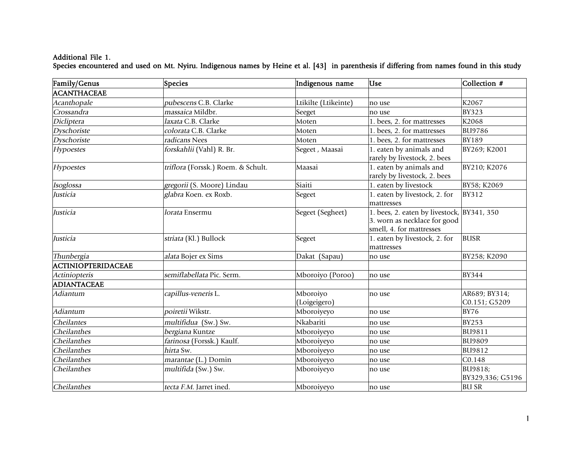## Additional File 1. Species encountered and used on Mt. Nyiru. Indigenous names by Heine et al. [43] in parenthesis if differing from names found in this study

| Family/Genus              | Species                            | Indigenous name          | <b>Use</b>                                                                                             | Collection #                   |
|---------------------------|------------------------------------|--------------------------|--------------------------------------------------------------------------------------------------------|--------------------------------|
| ACANTHACEAE               |                                    |                          |                                                                                                        |                                |
| Acanthopale               | pubescens C.B. Clarke              | Ltikilte (Ltikeinte)     | no use                                                                                                 | K2067                          |
| Crossandra                | massaica Mildbr.                   | Seeget                   | no use                                                                                                 | <b>BY323</b>                   |
| Dicliptera                | laxata C.B. Clarke                 | Moten                    | 1. bees, 2. for mattresses                                                                             | K2068                          |
| Dyschoriste               | colorata C.B. Clarke               | Moten                    | 1. bees, 2. for mattresses                                                                             | <b>BU9786</b>                  |
| Dyschoriste               | radicans Nees                      | Moten                    | 1. bees, 2. for mattresses                                                                             | <b>BY189</b>                   |
| Hypoestes                 | forskahlii (Vahl) R. Br.           | Segeet, Maasai           | 1. eaten by animals and<br>rarely by livestock, 2. bees                                                | BY269; K2001                   |
| Hypoestes                 | triflora (Forssk.) Roem. & Schult. | Maasai                   | 1. eaten by animals and<br>rarely by livestock, 2. bees                                                | BY210; K2076                   |
| Isoglossa                 | gregorii (S. Moore) Lindau         | Siaiti                   | 1. eaten by livestock                                                                                  | BY58; K2069                    |
| Justicia                  | glabra Koen. ex Roxb.              | Segeet                   | 1. eaten by livestock, 2. for<br>mattresses                                                            | <b>BY312</b>                   |
| Justicia                  | lorata Ensermu                     | Segeet (Segheet)         | 1. bees, 2. eaten by livestock, BY341, 350<br>3. worn as necklace for good<br>smell, 4. for mattresses |                                |
| Justicia                  | striata (Kl.) Bullock              | Segeet                   | 1. eaten by livestock, 2. for<br>mattresses                                                            | <b>BUSR</b>                    |
| Thunbergia                | alata Bojer ex Sims                | Dakat (Sapau)            | no use                                                                                                 | BY258; K2090                   |
| <b>ACTINIOPTERIDACEAE</b> |                                    |                          |                                                                                                        |                                |
| Actiniopteris             | semiflabellata Pic. Serm.          | Mboroiyo (Poroo)         | no use                                                                                                 | <b>BY344</b>                   |
| <b>ADIANTACEAE</b>        |                                    |                          |                                                                                                        |                                |
| Adiantum                  | capillus-veneris L.                | Mboroiyo<br>(Loigeigero) | no use                                                                                                 | AR689; BY314;<br>C0.151; G5209 |
| Adiantum                  | poiretii Wikstr.                   | Mboroiyeyo               | no use                                                                                                 | <b>BY76</b>                    |
| Cheilantes                | multifidua (Sw.) Sw.               | Nkabariti                | no use                                                                                                 | <b>BY253</b>                   |
| Cheilanthes               | bergiana Kuntze                    | Mboroiyeyo               | no use                                                                                                 | <b>BU9811</b>                  |
| Cheilanthes               | farinosa (Forssk.) Kaulf.          | Mboroiyeyo               | no use                                                                                                 | <b>BU9809</b>                  |
| Cheilanthes               | hirta Sw.                          | Mboroiyeyo               | no use                                                                                                 | <b>BU9812</b>                  |
| Cheilanthes               | marantae (L.) Domin                | Mboroiyeyo               | no use                                                                                                 | C0.148                         |
| Cheilanthes               | multifida (Sw.) Sw.                | Mboroiyeyo               | no use                                                                                                 | BU9818;<br>BY329,336; G5196    |
| Cheilanthes               | tecta F.M. Jarret ined.            | Mboroiyeyo               | no use                                                                                                 | <b>BU SR</b>                   |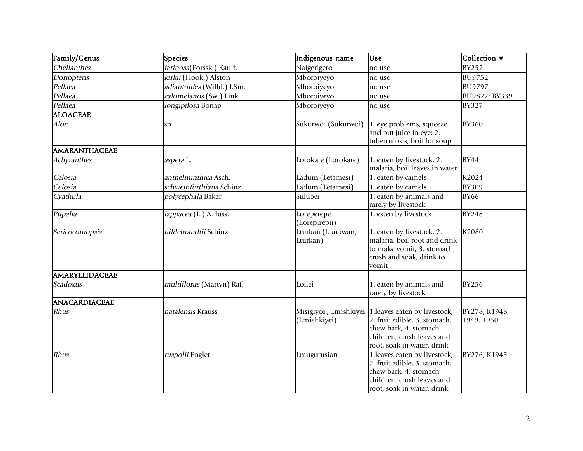| Family/Genus          | Species                    | Indigenous name                | <b>Use</b>                                                                                                                                                              | Collection #                |
|-----------------------|----------------------------|--------------------------------|-------------------------------------------------------------------------------------------------------------------------------------------------------------------------|-----------------------------|
| Cheilanthes           | farinosa(Forssk.) Kaulf.   | Naigerigero                    | no use                                                                                                                                                                  | <b>BY252</b>                |
| Doriopteris           | kirkii (Hook.) Alston      | Mboroiyeyo                     | no use                                                                                                                                                                  | <b>BU9752</b>               |
| Pellaea               | adiantoides (Willd.) J.Sm. | Mboroiyeyo                     | no use                                                                                                                                                                  | <b>BU9797</b>               |
| Pellaea               | calomelanos (Sw.) Link.    | Mboroiyeyo                     | no use                                                                                                                                                                  | BU9822; BY339               |
| Pellaea               | longipilosa Bonap          | Mboroiyeyo                     | no use                                                                                                                                                                  | <b>BY327</b>                |
| <b>ALOACEAE</b>       |                            |                                |                                                                                                                                                                         |                             |
| <i>Aloe</i>           | sp.                        | Sukurwoi (Sukurwoi)            | 1. eye problems, squeeze<br>and put juice in eye; 2.<br>tuberculosis, boil for soup                                                                                     | <b>BY360</b>                |
| AMARANTHACEAE         |                            |                                |                                                                                                                                                                         |                             |
| Achyranthes           | aspera L.                  | Lorokare (Lorokare)            | 1. eaten by livestock, 2.<br>malaria, boil leaves in water                                                                                                              | <b>BY44</b>                 |
| Celosia               | anthelminthica Asch.       | Ladum (Letamesi)               | 1. eaten by camels                                                                                                                                                      | K2024                       |
| Celosia               | schweinfurthiana Schinz.   | Ladum (Letamesi)               | 1. eaten by camels                                                                                                                                                      | <b>BY309</b>                |
| Cyathula              | polycephala Baker          | Sulubei                        | 1. eaten by animals and<br>rarely by livestock                                                                                                                          | <b>BY66</b>                 |
| Pupalia               | lappacea (L.) A. Juss.     | Loreperepe<br>(Lorepirepii)    | 1. esten by livestock                                                                                                                                                   | <b>BY248</b>                |
| Sericocomopsis        | hildebrandtii Schinz       | Lturkan (Lturkwan,<br>Lturkan) | 1. eaten by livestock, 2.<br>malaria, boil root and drink<br>to make vomit, 3. stomach,<br>crush and soak, drink to<br>vomit                                            | K2080                       |
| <b>AMARYLLIDACEAE</b> |                            |                                |                                                                                                                                                                         |                             |
| Scadoxus              | multiflorus (Martyn) Raf.  | Loilei                         | 1. eaten by animals and<br>rarely by livestock                                                                                                                          | <b>BY256</b>                |
| ANACARDIACEAE         |                            |                                |                                                                                                                                                                         |                             |
| Rhus                  | natalensis Krauss          | (Lmiehkiyei)                   | Misigiyoi, Lmishkiyei 1.leaves eaten by livestock,<br>2. fruit edible, 3. stomach,<br>chew bark, 4. stomach<br>children, crush leaves and<br>root, soak in water, drink | BY278; K1948,<br>1949, 1950 |
| Rhus                  | ruspolii Engler            | Lmugurusian                    | 1.leaves eaten by livestock,<br>2. fruit edible, 3. stomach,<br>chew bark, 4. stomach<br>children, crush leaves and<br>root, soak in water, drink                       | BY276; K1945                |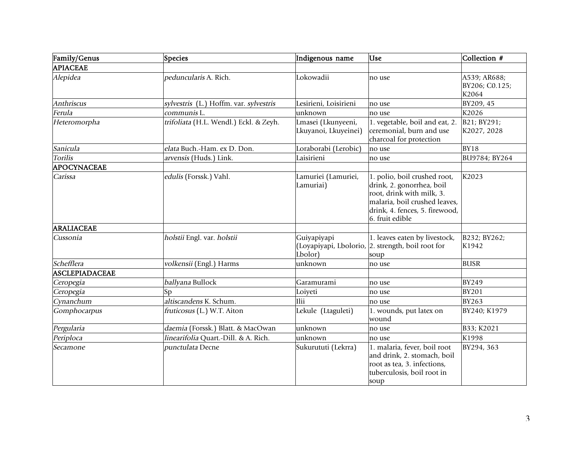| Family/Genus      | Species                                | Indigenous name                            | <b>Use</b>                                                                                                                                                                   | Collection #                            |
|-------------------|----------------------------------------|--------------------------------------------|------------------------------------------------------------------------------------------------------------------------------------------------------------------------------|-----------------------------------------|
| <b>APIACEAE</b>   |                                        |                                            |                                                                                                                                                                              |                                         |
| Alepidea          | peduncularis A. Rich.                  | Lokowadii                                  | no use                                                                                                                                                                       | A539; AR688;<br>BY206; C0.125;<br>K2064 |
| Anthriscus        | sylvestris (L.) Hoffm. var. sylvestris | Lesirieni, Loisirieni                      | no use                                                                                                                                                                       | BY209, 45                               |
| Ferula            | communis L.                            | unknown                                    | no use                                                                                                                                                                       | K2026                                   |
| Heteromorpha      | trifoliata (H.L. Wendl.) Eckl. & Zeyh. | Lmasei (Lkunyeeni,<br>Lkuyanoi, Lkuyeinei) | 1. vegetable, boil and eat, 2.<br>ceremonial, burn and use<br>charcoal for protection                                                                                        | B21; BY291;<br>K2027, 2028              |
| Sanicula          | elata Buch.-Ham. ex D. Don.            | Loraborabi (Lerobic)                       | no use                                                                                                                                                                       | <b>BY18</b>                             |
| <b>Torilis</b>    | arvensis (Huds.) Link.                 | Laisirieni                                 | no use                                                                                                                                                                       | BU9784; BY264                           |
| APOCYNACEAE       |                                        |                                            |                                                                                                                                                                              |                                         |
| Carissa           | edulis (Forssk.) Vahl.                 | Lamuriei (Lamuriei,<br>Lamuriai)           | 1. polio, boil crushed root,<br>drink, 2. gonorrhea, boil<br>root, drink with milk, 3.<br>malaria, boil crushed leaves,<br>drink, 4. fences, 5. firewood,<br>6. fruit edible | K2023                                   |
| <b>ARALIACEAE</b> |                                        |                                            |                                                                                                                                                                              |                                         |
| Cussonia          | holstii Engl. var. holstii             | Guiyapiyapi<br>Lbolor)                     | 1. leaves eaten by livestock,<br>(Loyapiyapi, Lbolorio, 2. strength, boil root for<br>soup                                                                                   | B232; BY262;<br>K1942                   |
| Schefflera        | volkensii (Engl.) Harms                | unknown                                    | no use                                                                                                                                                                       | <b>BUSR</b>                             |
| ASCLEPIADACEAE    |                                        |                                            |                                                                                                                                                                              |                                         |
| Ceropegia         | ballyana Bullock                       | Garamurami                                 | no use                                                                                                                                                                       | <b>BY249</b>                            |
| Ceropegia         | Sp                                     | Loiyeti                                    | no use                                                                                                                                                                       | <b>BY201</b>                            |
| Cynanchum         | altiscandens K. Schum.                 | Ilii                                       | no use                                                                                                                                                                       | <b>BY263</b>                            |
| Gomphocarpus      | fruticosus (L.) W.T. Aiton             | Lekule (Ltaguleti)                         | 1. wounds, put latex on<br>wound                                                                                                                                             | BY240; K1979                            |
| Pergularia        | daemia (Forssk.) Blatt. & MacOwan      | unknown                                    | no use                                                                                                                                                                       | B33; K2021                              |
| Periploca         | linearifolia Quart.-Dill. & A. Rich.   | unknown                                    | no use                                                                                                                                                                       | K1998                                   |
| Secamone          | punctulata Decne                       | Sukurututi (Lekrra)                        | 1. malaria, fever, boil root<br>and drink, 2. stomach, boil<br>root as tea, 3. infections,<br>tuberculosis, boil root in<br>soup                                             | BY294, 363                              |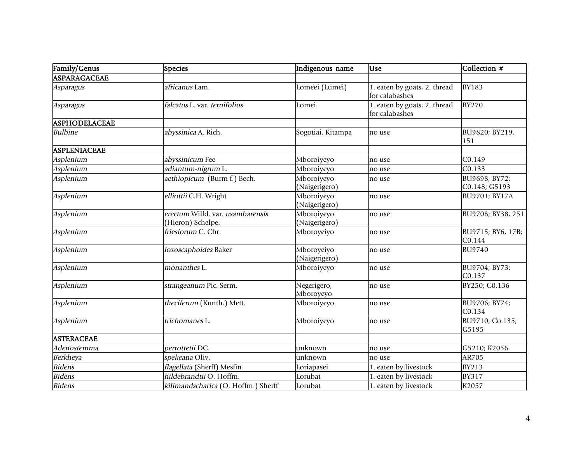| Family/Genus         | Species                                               | Indigenous name             | Use                                            | Collection #                   |
|----------------------|-------------------------------------------------------|-----------------------------|------------------------------------------------|--------------------------------|
| ASPARAGACEAE         |                                                       |                             |                                                |                                |
| Asparagus            | africanus Lam.                                        | Lomeei (Lumei)              | 1. eaten by goats, 2. thread<br>for calabashes | <b>BY183</b>                   |
| Asparagus            | falcatus L. var. ternifolius                          | Lomei                       | 1. eaten by goats, 2. thread<br>for calabashes | <b>BY270</b>                   |
| <b>ASPHODELACEAE</b> |                                                       |                             |                                                |                                |
| <b>Bulbine</b>       | abyssinica A. Rich.                                   | Sogotiai, Kitampa           | no use                                         | BU9820; BY219,<br>151          |
| <b>ASPLENIACEAE</b>  |                                                       |                             |                                                |                                |
| Asplenium            | abyssinicum Fee                                       | Mboroiyeyo                  | no use                                         | C <sub>0.149</sub>             |
| Asplenium            | adiantum-nigrum L.                                    | Mboroiyeyo                  | no use                                         | C0.133                         |
| Asplenium            | aethiopicum (Burm f.) Bech.                           | Mboroiyeyo<br>(Naigerigero) | no use                                         | BU9698; BY72;<br>C0.148; G5193 |
| Asplenium            | elliottii C.H. Wright                                 | Mboroiyeyo<br>(Naigerigero) | no use                                         | BU9701; BY17A                  |
| Asplenium            | erectum Willd. var. usambarensis<br>(Hieron) Schelpe. | Mboroiyeyo<br>(Naigerigero) | no use                                         | BU9708; BY38, 251              |
| Asplenium            | friesiorum C. Chr.                                    | Mboroyeiyo                  | no use                                         | BU9715; BY6, 17B;<br>C0.144    |
| Asplenium            | loxoscaphoides Baker                                  | Mboroyeiyo<br>(Naigerigero) | no use                                         | <b>BU9740</b>                  |
| Asplenium            | monanthes L.                                          | Mboroiyeyo                  | no use                                         | BU9704; BY73;<br>C0.137        |
| Asplenium            | strangeanum Pic. Serm.                                | Negerigero,<br>Mboroyeyo    | no use                                         | BY250; C0.136                  |
| Asplenium            | theciferum (Kunth.) Mett.                             | Mboroiyeyo                  | no use                                         | BU9706; BY74;<br>C0.134        |
| Asplenium            | trichomanes L.                                        | Mboroiyeyo                  | no use                                         | BU9710; Co.135;<br>G5195       |
| <b>ASTERACEAE</b>    |                                                       |                             |                                                |                                |
| Adenostemma          | perrottetii DC.                                       | unknown                     | no use                                         | G5210; K2056                   |
| Berkheya             | spekeana Oliv.                                        | unknown                     | no use                                         | AR705                          |
| <b>Bidens</b>        | flagellata (Sherff) Mesfin                            | Loriapasei                  | 1. eaten by livestock                          | <b>BY213</b>                   |
| <b>Bidens</b>        | hildebrandtii O. Hoffm.                               | Lorubat                     | 1. eaten by livestock                          | <b>BY317</b>                   |
| <b>Bidens</b>        | kilimandscharica (O. Hoffm.) Sherff                   | Lorubat                     | 1. eaten by livestock                          | K2057                          |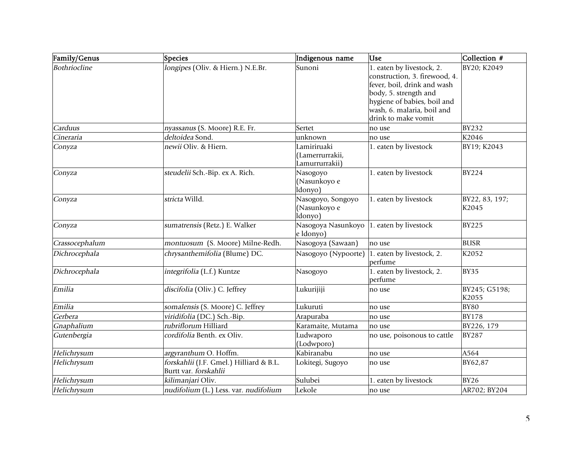| Family/Genus   | Species                                                          | Indigenous name                                  | <b>Lise</b>                                                                                                                                                                                            | Collection #            |
|----------------|------------------------------------------------------------------|--------------------------------------------------|--------------------------------------------------------------------------------------------------------------------------------------------------------------------------------------------------------|-------------------------|
| Bothriocline   | longipes (Oliv. & Hiern.) N.E.Br.                                | Sunoni                                           | 1. eaten by livestock, 2.<br>construction, 3. firewood, 4.<br>fever, boil, drink and wash<br>body, 5. strength and<br>hygiene of babies, boil and<br>wash, 6. malaria, boil and<br>drink to make vomit | BY20; K2049             |
| Carduus        | nyassanus (S. Moore) R.E. Fr.                                    | Sertet                                           | no use                                                                                                                                                                                                 | <b>BY232</b>            |
| Cineraria      | deltoidea Sond                                                   | unknown                                          | no use                                                                                                                                                                                                 | K2046                   |
| Conyza         | newii Oliv. & Hiern.                                             | Lamiriruaki<br>(Lamerrurrakii,<br>Lamurrurrakii) | 1. eaten by livestock                                                                                                                                                                                  | BY19; K2043             |
| Conyza         | steudelii Sch.-Bip. ex A. Rich.                                  | Nasogoyo<br>(Nasunkoyo e<br>ldonyo)              | 1. eaten by livestock                                                                                                                                                                                  | <b>BY224</b>            |
| Conyza         | stricta Willd.                                                   | Nasogoyo, Songoyo<br>(Nasunkoyo e<br>ldonyo)     | 1. eaten by livestock                                                                                                                                                                                  | BY22, 83, 197;<br>K2045 |
| Conyza         | sumatrensis (Retz.) E. Walker                                    | Nasogoya Nasunkoyo<br>e Idonyo)                  | 1. eaten by livestock                                                                                                                                                                                  | <b>BY225</b>            |
| Crassocephalum | montuosum (S. Moore) Milne-Redh.                                 | Nasogoya (Sawaan)                                | no use                                                                                                                                                                                                 | <b>BUSR</b>             |
| Dichrocephala  | chrysanthemifolia (Blume) DC.                                    | Nasogoyo (Nypoorte)                              | 1. eaten by livestock, 2.<br>perfume                                                                                                                                                                   | K2052                   |
| Dichrocephala  | integrifolia (L.f.) Kuntze                                       | Nasogoyo                                         | 1. eaten by livestock, 2.<br>perfume                                                                                                                                                                   | <b>BY35</b>             |
| Emilia         | discifolia (Oliv.) C. Jeffrey                                    | Lukurijiji                                       | no use                                                                                                                                                                                                 | BY245; G5198;<br>K2055  |
| Emilia         | somalensis (S. Moore) C. Jeffrey                                 | Lukuruti                                         | no use                                                                                                                                                                                                 | <b>BY80</b>             |
| Gerbera        | viridifolia (DC.) Sch.-Bip.                                      | Arapuraba                                        | no use                                                                                                                                                                                                 | <b>BY178</b>            |
| Gnaphalium     | rubriflorum Hilliard                                             | Karamaite, Mutama                                | no use                                                                                                                                                                                                 | BY226, 179              |
| Gutenbergia    | cordifolia Benth. ex Oliv.                                       | Ludwaporo<br>(Lodwporo)                          | no use, poisonous to cattle                                                                                                                                                                            | <b>BY287</b>            |
| Helichrysum    | argyranthum O. Hoffm.                                            | Kabiranabu                                       | no use                                                                                                                                                                                                 | A564                    |
| Helichrysum    | forskahlii (J.F. Gmel.) Hilliard & B.L.<br>Burtt var. forskahlii | Lokitegi, Sugoyo                                 | no use                                                                                                                                                                                                 | BY62,87                 |
| Helichrysum    | kilimanjari Oliv.                                                | Sulubei                                          | 1. eaten by livestock                                                                                                                                                                                  | <b>BY26</b>             |
| Helichrysum    | nudifolium (L.) Less. var. nudifolium                            | Lekole                                           | no use                                                                                                                                                                                                 | AR702; BY204            |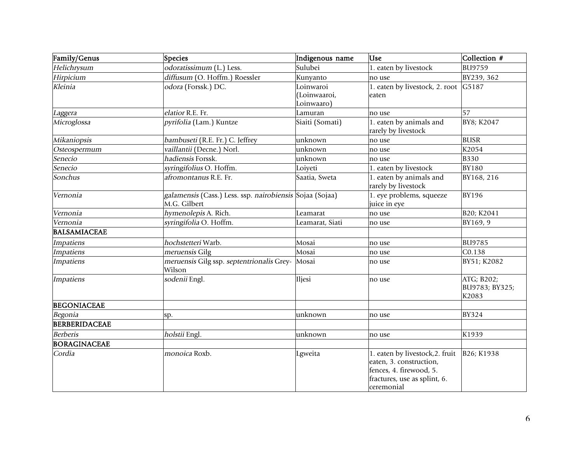| Family/Genus         | Species                                                                  | Indigenous name                         | <b>Use</b>                                                                                                                          | Collection #                          |
|----------------------|--------------------------------------------------------------------------|-----------------------------------------|-------------------------------------------------------------------------------------------------------------------------------------|---------------------------------------|
| Helichrysum          | odoratissimum (L.) Less.                                                 | Sulubei                                 | 1. eaten by livestock                                                                                                               | <b>BU9759</b>                         |
| Hirpicium            | diffusum (O. Hoffm.) Roessler                                            | Kunyanto                                | no use                                                                                                                              | BY239, 362                            |
| Kleinia              | odora (Forssk.) DC.                                                      | Loinwaroi<br>(Loinwaaroi,<br>Loinwaaro) | 1. eaten by livestock, 2. root<br>eaten                                                                                             | G5187                                 |
| Laggera              | elatior R.E. Fr.                                                         | Lamuran                                 | no use                                                                                                                              | 57                                    |
| Microglossa          | pyrifolia (Lam.) Kuntze                                                  | Siaiti (Somati)                         | 1. eaten by animals and<br>rarely by livestock                                                                                      | BY8; K2047                            |
| Mikaniopsis          | bambuseti (R.E. Fr.) C. Jeffrey                                          | unknown                                 | no use                                                                                                                              | <b>BUSR</b>                           |
| Osteospermum         | vaillantii (Decne.) Norl.                                                | unknown                                 | no use                                                                                                                              | K2054                                 |
| Senecio              | hadiensis Forssk.                                                        | unknown                                 | no use                                                                                                                              | <b>B330</b>                           |
| Senecio              | syringifolius O. Hoffm.                                                  | Loiyeti                                 | 1. eaten by livestock                                                                                                               | <b>BY180</b>                          |
| Sonchus              | afromontanus R.E. Fr.                                                    | Saatia, Sweta                           | 1. eaten by animals and<br>rarely by livestock                                                                                      | BY168, 216                            |
| Vernonia             | galamensis (Cass.) Less. ssp. nairobiensis Sojaa (Sojaa)<br>M.G. Gilbert |                                         | 1. eye problems, squeeze<br>juice in eye                                                                                            | <b>BY196</b>                          |
| Vernonia             | hymenolepis A. Rich.                                                     | Leamarat                                | no use                                                                                                                              | B20; K2041                            |
| Vernonia             | syringifolia O. Hoffm.                                                   | Leamarat, Siati                         | no use                                                                                                                              | BY169, 9                              |
| <b>BALSAMIACEAE</b>  |                                                                          |                                         |                                                                                                                                     |                                       |
| Impatiens            | hochstetteri Warb.                                                       | Mosai                                   | no use                                                                                                                              | <b>BU9785</b>                         |
| <b>Impatiens</b>     | meruensis Gilg                                                           | Mosai                                   | no use                                                                                                                              | C0.138                                |
| <b>Impatiens</b>     | meruensis Gilg ssp. septentrionalis Grey-<br>Wilson                      | Mosai                                   | no use                                                                                                                              | BY51; K2082                           |
| <b>Impatiens</b>     | sodenii Engl.                                                            | Iljesi                                  | no use                                                                                                                              | ATG; B202;<br>BU9783; BY325;<br>K2083 |
| <b>BEGONIACEAE</b>   |                                                                          |                                         |                                                                                                                                     |                                       |
| Begonia              | SD.                                                                      | unknown                                 | no use                                                                                                                              | <b>BY324</b>                          |
| <b>BERBERIDACEAE</b> |                                                                          |                                         |                                                                                                                                     |                                       |
| <b>Berberis</b>      | holstii Engl.                                                            | unknown                                 | no use                                                                                                                              | K1939                                 |
| <b>BORAGINACEAE</b>  |                                                                          |                                         |                                                                                                                                     |                                       |
| Cordia               | monoica Roxb.                                                            | Lgweita                                 | 1. eaten by livestock, 2. fruit<br>eaten, 3. construction,<br>fences, 4. firewood, 5.<br>fractures, use as splint, 6.<br>ceremonial | B26; K1938                            |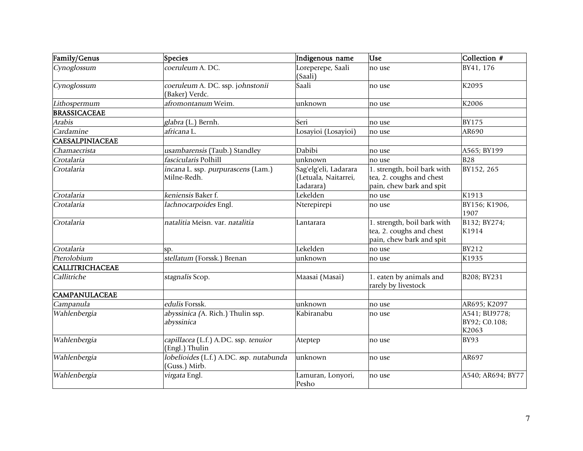| Family/Genus           | Species                                                  | Indigenous name                                            | <b>Use</b>                                                                          | Collection #                            |
|------------------------|----------------------------------------------------------|------------------------------------------------------------|-------------------------------------------------------------------------------------|-----------------------------------------|
| Cynoglossum            | coeruleum A. DC.                                         | Loreperepe, Saali<br>(Saali)                               | no use                                                                              | BY41, 176                               |
| Cynoglossum            | coeruleum A. DC. ssp. johnstonii<br>(Baker) Verdc.       | Saali                                                      | no use                                                                              | K2095                                   |
| Lithospermum           | afromontanum Weim.                                       | unknown                                                    | no use                                                                              | K2006                                   |
| <b>BRASSICACEAE</b>    |                                                          |                                                            |                                                                                     |                                         |
| Arabis                 | glabra (L.) Bernh.                                       | Seri                                                       | no use                                                                              | <b>BY175</b>                            |
| Cardamine              | africana L.                                              | Losayioi (Losayioi)                                        | no use                                                                              | AR690                                   |
| <b>CAESALPINIACEAE</b> |                                                          |                                                            |                                                                                     |                                         |
| Chamaecrista           | usambarensis (Taub.) Standley                            | Dabibi                                                     | no use                                                                              | A565; BY199                             |
| Crotalaria             | fascicularis Polhill                                     | unknown                                                    | no use                                                                              | <b>B28</b>                              |
| Crotalaria             | incana L. ssp. purpurascens (Lam.)<br>Milne-Redh.        | Sag'elg'eli, Ladarara<br>(Letuala, Naitarrei,<br>Ladarara) | 1. strength, boil bark with<br>tea, 2. coughs and chest<br>pain, chew bark and spit | BY152, 265                              |
| Crotalaria             | keniensis Baker f.                                       | Lekelden                                                   | no use                                                                              | K1913                                   |
| Crotalaria             | lachnocarpoides Engl.                                    | Nterepirepi                                                | no use                                                                              | BY156; K1906,<br>1907                   |
| Crotalaria             | natalitia Meisn. var. natalitia                          | Lantarara                                                  | 1. strength, boil bark with<br>tea, 2. coughs and chest<br>pain, chew bark and spit | B132; BY274;<br>K1914                   |
| Crotalaria             | SD.                                                      | Lekelden                                                   | no use                                                                              | <b>BY212</b>                            |
| Pterolobium            | stellatum (Forssk.) Brenan                               | unknown                                                    | no use                                                                              | K1935                                   |
| <b>CALLITRICHACEAE</b> |                                                          |                                                            |                                                                                     |                                         |
| Callitriche            | stagnalis Scop.                                          | Maasai (Masai)                                             | 1. eaten by animals and<br>rarely by livestock                                      | B208; BY231                             |
| <b>CAMPANULACEAE</b>   |                                                          |                                                            |                                                                                     |                                         |
| Campanula              | edulis Forssk.                                           | unknown                                                    | no use                                                                              | AR695; K2097                            |
| Wahlenbergia           | abyssinica (A. Rich.) Thulin ssp.<br>abyssinica          | Kabiranabu                                                 | no use                                                                              | A541; BU9778;<br>BY92; C0.108;<br>K2063 |
| Wahlenbergia           | capillacea (L.f.) A.DC. ssp. tenuior<br>(Engl.) Thulin   | Ateptep                                                    | no use                                                                              | <b>BY93</b>                             |
| Wahlenbergia           | lobelioides (L.f.) A.DC. ssp. nutabunda<br>(Guss.) Mirb. | unknown                                                    | no use                                                                              | AR697                                   |
| Wahlenbergia           | virgata Engl.                                            | Lamuran, Lonyori,<br>Pesho                                 | no use                                                                              | A540; AR694; BY77                       |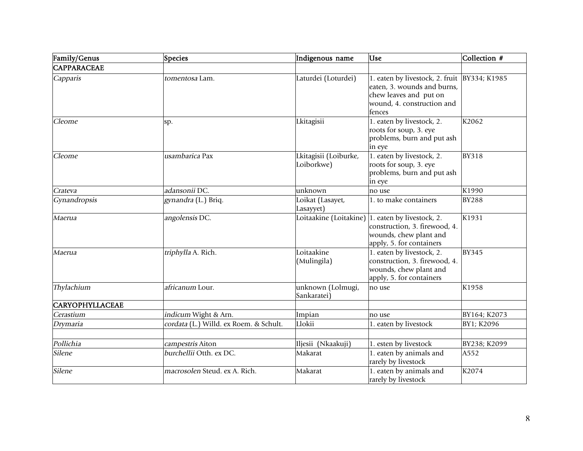| Family/Genus           | <b>Species</b>                         | Indigenous name                     | <b>Use</b>                                                                                                                              | Collection # |
|------------------------|----------------------------------------|-------------------------------------|-----------------------------------------------------------------------------------------------------------------------------------------|--------------|
| <b>CAPPARACEAE</b>     |                                        |                                     |                                                                                                                                         |              |
| Capparis               | tomentosa Lam.                         | Laturdei (Loturdei)                 | 1. eaten by livestock, 2. fruit<br>eaten, 3. wounds and burns,<br>chew leaves and put on<br>wound, 4. construction and<br>fences        | BY334; K1985 |
| Cleome                 | sp.                                    | Lkitagisii                          | 1. eaten by livestock, 2.<br>roots for soup, 3. eye<br>problems, burn and put ash<br>in eye                                             | K2062        |
| Cleome                 | usambarica Pax                         | Lkitagisii (Loiburke,<br>Loiborkwe) | 1. eaten by livestock, 2.<br>roots for soup, 3. eye<br>problems, burn and put ash<br>in eye                                             | <b>BY318</b> |
| Crateva                | adansonii DC.                          | unknown                             | no use                                                                                                                                  | K1990        |
| Gynandropsis           | gynandra (L.) Briq.                    | Loikat (Lasayet,<br>Lasayyet)       | 1. to make containers                                                                                                                   | <b>BY288</b> |
| Maerua                 | angolensis DC.                         |                                     | Loitaakine (Loitakine) 1. eaten by livestock, 2.<br>construction, 3. firewood, 4.<br>wounds, chew plant and<br>apply, 5. for containers | K1931        |
| Maerua                 | triphylla A. Rich.                     | Loitaakine<br>(Mulingila)           | 1. eaten by livestock, 2.<br>construction, 3. firewood, 4.<br>wounds, chew plant and<br>apply, 5. for containers                        | <b>BY345</b> |
| Thylachium             | africanum Lour.                        | unknown (Lolmugi,<br>Sankaratei)    | no use                                                                                                                                  | K1958        |
| <b>CARYOPHYLLACEAE</b> |                                        |                                     |                                                                                                                                         |              |
| Cerastium              | indicum Wight & Arn.                   | Impian                              | no use                                                                                                                                  | BY164; K2073 |
| Drymaria               | cordata (L.) Willd. ex Roem. & Schult. | Llokii                              | 1. eaten by livestock                                                                                                                   | BY1; K2096   |
| Pollichia              | campestris Aiton                       | Iljesii (Nkaakuji)                  | 1. esten by livestock                                                                                                                   | BY238; K2099 |
| Silene                 | burchellii Otth. ex DC.                | Makarat                             | 1. eaten by animals and<br>rarely by livestock                                                                                          | A552         |
| Silene                 | macrosolen Steud, ex A. Rich.          | Makarat                             | 1. eaten by animals and<br>rarely by livestock                                                                                          | K2074        |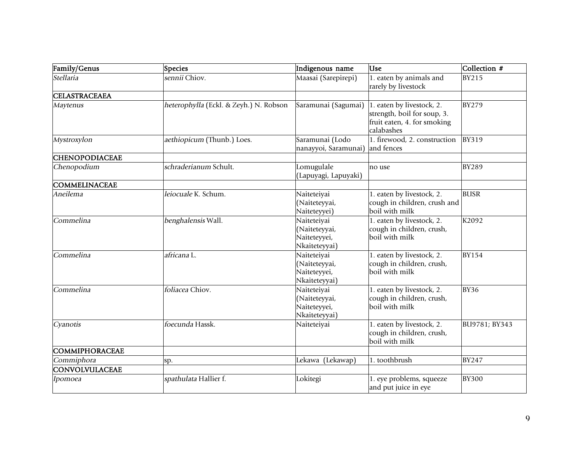| Family/Genus          | <b>Species</b>                         | Indigenous name                                               | <b>Use</b>                                                                                            | Collection #  |
|-----------------------|----------------------------------------|---------------------------------------------------------------|-------------------------------------------------------------------------------------------------------|---------------|
| Stellaria             | sennii Chiov.                          | Maasai (Sarepirepi)                                           | 1. eaten by animals and<br>rarely by livestock                                                        | <b>BY215</b>  |
| <b>CELASTRACEAEA</b>  |                                        |                                                               |                                                                                                       |               |
| Maytenus              | heterophylla (Eckl. & Zeyh.) N. Robson | Saramunai (Sagumai)                                           | 1. eaten by livestock, 2.<br>strength, boil for soup, 3.<br>fruit eaten, 4. for smoking<br>calabashes | <b>BY279</b>  |
| Mystroxylon           | aethiopicum (Thunb.) Loes.             | Saramunai (Lodo<br>nanayyoi, Saramunai)                       | 1. firewood, 2. construction<br>and fences                                                            | <b>BY319</b>  |
| <b>CHENOPODIACEAE</b> |                                        |                                                               |                                                                                                       |               |
| Chenopodium           | schraderianum Schult.                  | Lomugulale<br>(Lapuyagi, Lapuyaki)                            | no use                                                                                                | <b>BY289</b>  |
| <b>COMMELINACEAE</b>  |                                        |                                                               |                                                                                                       |               |
| Aneilema              | leiocuale K. Schum.                    | Naiteteiyai<br>(Naiteteyyai,<br>Naiteteyyei)                  | 1. eaten by livestock, 2.<br>cough in children, crush and<br>boil with milk                           | <b>BUSR</b>   |
| Commelina             | benghalensis Wall.                     | Naiteteiyai<br>(Naiteteyyai,<br>Naiteteyyei,<br>Nkaiteteyyai) | 1. eaten by livestock, 2.<br>cough in children, crush,<br>boil with milk                              | K2092         |
| Commelina             | africana L.                            | Naiteteiyai<br>(Naiteteyyai,<br>Naiteteyyei,<br>Nkaiteteyyai) | 1. eaten by livestock, 2.<br>cough in children, crush,<br>boil with milk                              | <b>BY154</b>  |
| Commelina             | foliacea Chiov.                        | Naiteteiyai<br>(Naiteteyyai,<br>Naiteteyyei,<br>Nkaiteteyyai) | 1. eaten by livestock, 2.<br>cough in children, crush,<br>boil with milk                              | <b>BY36</b>   |
| Cyanotis              | foecunda Hassk.                        | Naiteteiyai                                                   | 1. eaten by livestock, 2.<br>cough in children, crush,<br>boil with milk                              | BU9781; BY343 |
| COMMIPHORACEAE        |                                        |                                                               |                                                                                                       |               |
| Commiphora            | sp.                                    | Lekawa (Lekawap)                                              | 1. toothbrush                                                                                         | <b>BY247</b>  |
| <b>CONVOLVULACEAE</b> |                                        |                                                               |                                                                                                       |               |
| Ipomoea               | spathulata Hallier f.                  | Lokitegi                                                      | 1. eye problems, squeeze<br>and put juice in eye                                                      | <b>BY300</b>  |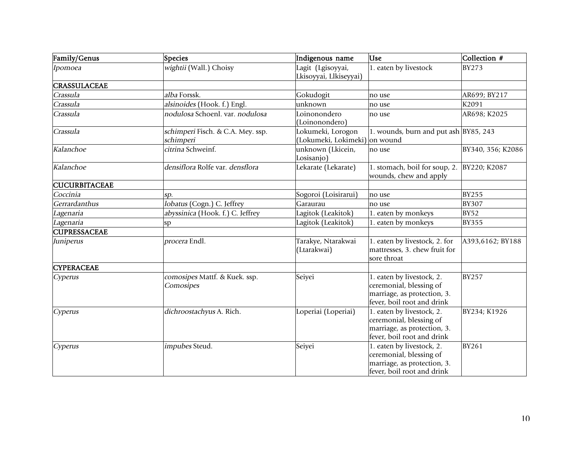| Family/Genus         | Species                                        | Indigenous name                             | <b>Use</b>                                                                                                        | Collection #      |
|----------------------|------------------------------------------------|---------------------------------------------|-------------------------------------------------------------------------------------------------------------------|-------------------|
| Ipomoea              | wightii (Wall.) Choisy                         | Lagit (Lgisoyyai,<br>Lkisoyyai, Llkiseyyai) | 1. eaten by livestock                                                                                             | <b>BY273</b>      |
| <b>CRASSULACEAE</b>  |                                                |                                             |                                                                                                                   |                   |
| Crassula             | alba Forssk.                                   | Gokudogit                                   | no use                                                                                                            | AR699; BY217      |
| Crassula             | alsinoides (Hook. f.) Engl.                    | unknown                                     | no use                                                                                                            | K2091             |
| Crassula             | nodulosa Schoenl, var. nodulosa                | Loinonondero<br>(Loinonondero)              | no use                                                                                                            | AR698; K2025      |
| Crassula             | schimperi Fisch. & C.A. Mey. ssp.<br>schimperi | Lokumeki, Lorogon<br>(Lokumeki, Lokimeki)   | 1. wounds, burn and put ash BY85, 243<br>on wound                                                                 |                   |
| Kalanchoe            | citrina Schweinf.                              | unknown (Lkicein,<br>Losisanjo)             | no use                                                                                                            | BY340, 356; K2086 |
| Kalanchoe            | densiflora Rolfe var. densflora                | Lekarate (Lekarate)                         | 1. stomach, boil for soup, 2.<br>wounds, chew and apply                                                           | BY220; K2087      |
| <b>CUCURBITACEAE</b> |                                                |                                             |                                                                                                                   |                   |
| Coccinia             | sp.                                            | Sogoroi (Loisirarui)                        | no use                                                                                                            | <b>BY255</b>      |
| Gerrardanthus        | lobatus (Cogn.) C. Jeffrey                     | Garaurau                                    | no use                                                                                                            | <b>BY307</b>      |
| Lagenaria            | abyssinica (Hook. f.) C. Jeffrey               | Lagitok (Leakitok)                          | 1. eaten by monkeys                                                                                               | <b>BY52</b>       |
| Lagenaria            | <sub>sp</sub>                                  | Lagitok (Leakitok)                          | 1. eaten by monkeys                                                                                               | <b>BY355</b>      |
| <b>CUPRESSACEAE</b>  |                                                |                                             |                                                                                                                   |                   |
| Juniperus            | procera Endl.                                  | Tarakye, Ntarakwai<br>(Ltarakwai)           | 1. eaten by livestock, 2. for<br>mattresses, 3. chew fruit for<br>sore throat                                     | A393,6162; BY188  |
| <b>CYPERACEAE</b>    |                                                |                                             |                                                                                                                   |                   |
| Cyperus              | comosipes Mattf. & Kuek. ssp.<br>Comosipes     | Seiyei                                      | 1. eaten by livestock, 2.<br>ceremonial, blessing of<br>marriage, as protection, 3.<br>fever, boil root and drink | <b>BY257</b>      |
| Cyperus              | dichroostachyus A. Rich.                       | Loperiai (Loperiai)                         | 1. eaten by livestock, 2.<br>ceremonial, blessing of<br>marriage, as protection, 3.<br>fever, boil root and drink | BY234; K1926      |
| Cyperus              | impubes Steud.                                 | Seiyei                                      | 1. eaten by livestock, 2.<br>ceremonial, blessing of<br>marriage, as protection, 3.<br>fever, boil root and drink | <b>BY261</b>      |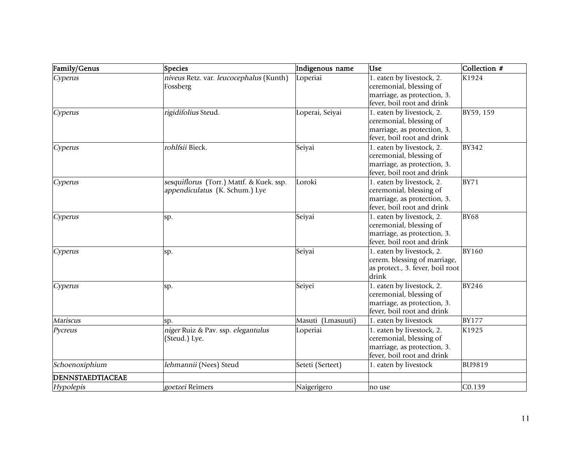| Family/Genus     | Species                                  | Indigenous name   | <b>Use</b>                                                | Collection #  |
|------------------|------------------------------------------|-------------------|-----------------------------------------------------------|---------------|
| Cyperus          | niveus Retz. var. leucocephalus (Kunth)  | Loperiai          | 1. eaten by livestock, 2.                                 | K1924         |
|                  | Fossberg                                 |                   | ceremonial, blessing of                                   |               |
|                  |                                          |                   | marriage, as protection, 3.                               |               |
|                  |                                          |                   | fever, boil root and drink                                |               |
| Cyperus          | rigidifolius Steud.                      | Loperai, Seiyai   | 1. eaten by livestock, 2.                                 | BY59, 159     |
|                  |                                          |                   | ceremonial, blessing of                                   |               |
|                  |                                          |                   | marriage, as protection, 3.                               |               |
|                  |                                          |                   | fever, boil root and drink                                |               |
| Cyperus          | rohlfsii Bieck.                          | Seiyai            | 1. eaten by livestock, 2.                                 | <b>BY342</b>  |
|                  |                                          |                   | ceremonial, blessing of                                   |               |
|                  |                                          |                   | marriage, as protection, 3.                               |               |
|                  |                                          |                   | fever, boil root and drink                                |               |
| Cyperus          | sesquiflorus (Torr.) Mattf. & Kuek. ssp. | Loroki            | 1. eaten by livestock, 2.                                 | <b>BY71</b>   |
|                  | appendiculatus (K. Schum.) Lye           |                   | ceremonial, blessing of                                   |               |
|                  |                                          |                   | marriage, as protection, 3.<br>fever, boil root and drink |               |
|                  |                                          |                   |                                                           |               |
| Cyperus          | sp.                                      | Seiyai            | 1. eaten by livestock, 2.<br>ceremonial, blessing of      | <b>BY68</b>   |
|                  |                                          |                   | marriage, as protection, 3.                               |               |
|                  |                                          |                   | fever, boil root and drink                                |               |
| Cyperus          | sp.                                      | Seiyai            | 1. eaten by livestock, 2.                                 | <b>BY160</b>  |
|                  |                                          |                   | cerem. blessing of marriage,                              |               |
|                  |                                          |                   | as protect., 3. fever, boil root                          |               |
|                  |                                          |                   | drink                                                     |               |
| Cyperus          | sp.                                      | Seiyei            | 1. eaten by livestock, 2.                                 | <b>BY246</b>  |
|                  |                                          |                   | ceremonial, blessing of                                   |               |
|                  |                                          |                   | marriage, as protection, 3.                               |               |
|                  |                                          |                   | fever, boil root and drink                                |               |
| Mariscus         | SP.                                      | Masuti (Lmasuuti) | 1. eaten by livestock                                     | <b>BY177</b>  |
| Pycreus          | niger Ruiz & Pav. ssp. elegantulus       | Loperiai          | 1. eaten by livestock, 2.                                 | K1925         |
|                  | (Steud.) Lye.                            |                   | ceremonial, blessing of                                   |               |
|                  |                                          |                   | marriage, as protection, 3.                               |               |
|                  |                                          |                   | fever, boil root and drink                                |               |
| Schoenoxiphium   | lehmannii (Nees) Steud                   | Seteti (Serteet)  | 1. eaten by livestock                                     | <b>BU9819</b> |
| DENNSTAEDTIACEAE |                                          |                   |                                                           |               |
| Hypolepis        | goetzei Reimers                          | Naigerigero       | no use                                                    | C0.139        |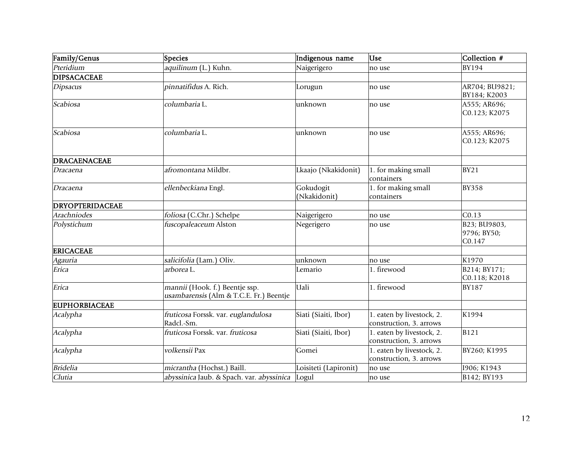| Family/Genus           | Species                                                                   | Indigenous name           | <b>Use</b>                                           | Collection #                          |
|------------------------|---------------------------------------------------------------------------|---------------------------|------------------------------------------------------|---------------------------------------|
| Pteridium              | aquilinum (L.) Kuhn.                                                      | Naigerigero               | no use                                               | <b>BY194</b>                          |
| <b>DIPSACACEAE</b>     |                                                                           |                           |                                                      |                                       |
| <b>Dipsacus</b>        | pinnatifidus A. Rich.                                                     | Lorugun                   | no use                                               | AR704; BU9821;<br>BY184; K2003        |
| Scabiosa               | columbaria L.                                                             | unknown                   | no use                                               | A555; AR696;<br>C0.123; K2075         |
| Scabiosa               | columbaria L.                                                             | unknown                   | no use                                               | A555; AR696;<br>C0.123; K2075         |
| DRACAENACEAE           |                                                                           |                           |                                                      |                                       |
| Dracaena               | afromontana Mildbr.                                                       | Lkaajo (Nkakidonit)       | 1. for making small<br>containers                    | <b>BY21</b>                           |
| Dracaena               | ellenbeckiana Engl.                                                       | Gokudogit<br>(Nkakidonit) | 1. for making small<br>containers                    | <b>BY358</b>                          |
| <b>DRYOPTERIDACEAE</b> |                                                                           |                           |                                                      |                                       |
| Arachniodes            | foliosa (C.Chr.) Schelpe                                                  | Naigerigero               | no use                                               | CO.13                                 |
| Polystichum            | fuscopaleaceum Alston                                                     | Negerigero                | no use                                               | B23; BU9803,<br>9796; BY50;<br>C0.147 |
| <b>ERICACEAE</b>       |                                                                           |                           |                                                      |                                       |
| Agauria                | salicifolia (Lam.) Oliv.                                                  | unknown                   | no use                                               | K1970                                 |
| Erica                  | arborea L.                                                                | Lemario                   | 1. firewood                                          | B214; BY171;<br>C0.118; K2018         |
| Erica                  | mannii (Hook. f.) Beentje ssp.<br>usambarensis (Alm & T.C.E. Fr.) Beentje | Uali                      | 1. firewood                                          | <b>BY187</b>                          |
| <b>EUPHORBIACEAE</b>   |                                                                           |                           |                                                      |                                       |
| Acalypha               | fruticosa Forssk. var. euglandulosa<br>Radcl.-Sm.                         | Siati (Siaiti, Ibor)      | 1. eaten by livestock, 2.<br>construction, 3. arrows | K1994                                 |
| Acalypha               | fruticosa Forssk. var. fruticosa                                          | Siati (Siaiti, Ibor)      | 1. eaten by livestock, 2.<br>construction, 3. arrows | <b>B121</b>                           |
| Acalypha               | volkensii Pax                                                             | Gomei                     | 1. eaten by livestock, 2.<br>construction, 3. arrows | BY260; K1995                          |
| <b>Bridelia</b>        | micrantha (Hochst.) Baill.                                                | Loisiteti (Lapironit)     | no use                                               | 1906; K1943                           |
| Clutia                 | abyssinica Jaub. & Spach. var. abyssinica                                 | Logul                     | no use                                               | B142; BY193                           |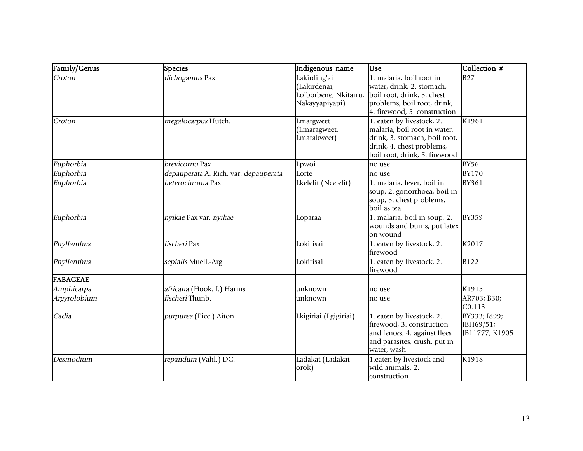| Family/Genus | Species                               | Indigenous name                                                         | <b>Use</b>                                                                                                                                               | Collection #                                |
|--------------|---------------------------------------|-------------------------------------------------------------------------|----------------------------------------------------------------------------------------------------------------------------------------------------------|---------------------------------------------|
| Croton       | dichogamus Pax                        | Lakirding'ai<br>(Lakirdenai,<br>Loiborbene, Nkitarru,<br>Nakayyapiyapi) | 1. malaria, boil root in<br>water, drink, 2. stomach,<br>boil root, drink, 3. chest<br>problems, boil root, drink,<br>4. firewood, 5. construction       | <b>B27</b>                                  |
| Croton       | megalocarpus Hutch.                   | Lmargweet<br>(Lmaragweet,<br>Lmarakweet)                                | 1. eaten by livestock, 2.<br>malaria, boil root in water,<br>drink, 3. stomach, boil root,<br>drink, 4. chest problems,<br>boil root, drink, 5. firewood | K1961                                       |
| Euphorbia    | brevicornu Pax                        | Lpwoi                                                                   | no use                                                                                                                                                   | <b>BY56</b>                                 |
| Euphorbia    | depauperata A. Rich. var. depauperata | Lorte                                                                   | no use                                                                                                                                                   | <b>BY170</b>                                |
| Euphorbia    | heterochroma Pax                      | Lkelelit (Ncelelit)                                                     | 1. malaria, fever, boil in<br>soup, 2. gonorrhoea, boil in<br>soup, 3. chest problems,<br>boil as tea                                                    | <b>BY361</b>                                |
| Euphorbia    | nyikae Pax var. nyikae                | Loparaa                                                                 | 1. malaria, boil in soup, 2.<br>wounds and burns, put latex<br>on wound                                                                                  | <b>BY359</b>                                |
| Phyllanthus  | fischeri Pax                          | Lokirisai                                                               | 1. eaten by livestock, 2.<br>firewood                                                                                                                    | K2017                                       |
| Phyllanthus  | sepialis Muell.-Arg.                  | Lokirisai                                                               | 1. eaten by livestock, 2.<br>firewood                                                                                                                    | <b>B122</b>                                 |
| FABACEAE     |                                       |                                                                         |                                                                                                                                                          |                                             |
| Amphicarpa   | africana (Hook. f.) Harms             | unknown                                                                 | no use                                                                                                                                                   | K1915                                       |
| Argyrolobium | fischeri Thunb.                       | unknown                                                                 | no use                                                                                                                                                   | AR703; B30;<br>C0.113                       |
| Cadia        | purpurea (Picc.) Aiton                | Lkigiriai (Lgigiriai)                                                   | 1. eaten by livestock, 2.<br>firewood, 3. construction<br>and fences, 4. against flees<br>and parasites, crush, put in<br>water, wash                    | BY333; I899;<br>JBH69/51;<br>JB11777; K1905 |
| Desmodium    | repandum (Vahl.) DC.                  | Ladakat (Ladakat<br>orok)                                               | 1.eaten by livestock and<br>wild animals, 2.<br>construction                                                                                             | K1918                                       |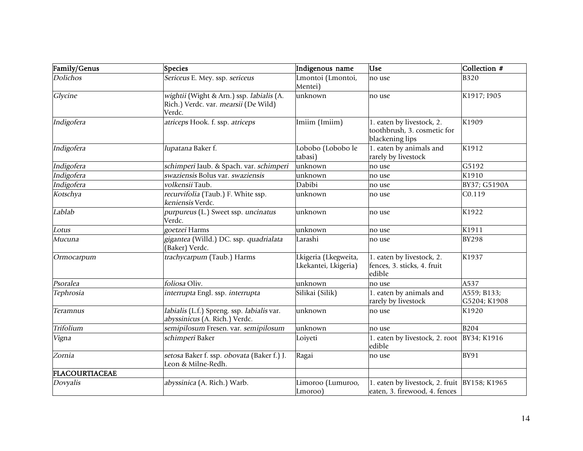| Family/Genus    | Species                                                                                    | Indigenous name                              | <b>Use</b>                                                                    | Collection #                |
|-----------------|--------------------------------------------------------------------------------------------|----------------------------------------------|-------------------------------------------------------------------------------|-----------------------------|
| <b>Dolichos</b> | Sericeus E. Mey. ssp. sericeus                                                             | Lmontoi (Lmontoi,<br>Mentei)                 | no use                                                                        | <b>B320</b>                 |
| Glycine         | wightii (Wight & Arn.) ssp. labialis (A.<br>Rich.) Verdc. var. mearsii (De Wild)<br>Verdc. | unknown                                      | no use                                                                        | K1917; I905                 |
| Indigofera      | atriceps Hook. f. ssp. atriceps                                                            | Imiim (Imiim)                                | 1. eaten by livestock, 2.<br>toothbrush, 3. cosmetic for<br>blackening lips   | K1909                       |
| Indigofera      | lupatana Baker f.                                                                          | Lobobo (Lobobo le<br>tabasi)                 | 1. eaten by animals and<br>rarely by livestock                                | K1912                       |
| Indigofera      | schimperi Jaub. & Spach. var. schimperi                                                    | unknown                                      | no use                                                                        | G5192                       |
| Indigofera      | swaziensis Bolus var. swaziensis                                                           | unknown                                      | no use                                                                        | K1910                       |
| Indigofera      | volkensii Taub.                                                                            | Dabibi                                       | no use                                                                        | BY37; G5190A                |
| Kotschya        | recurvifolia (Taub.) F. White ssp.<br>keniensis Verdc.                                     | unknown                                      | no use                                                                        | CO.119                      |
| Lablab          | purpureus (L.) Sweet ssp. uncinatus<br>Verdc.                                              | unknown                                      | no use                                                                        | K1922                       |
| Lotus           | goetzei Harms                                                                              | unknown                                      | no use                                                                        | K1911                       |
| Mucuna          | gigantea (Willd.) DC. ssp. quadrialata<br>(Baker) Verdc.                                   | Larashi                                      | no use                                                                        | <b>BY298</b>                |
| Ormocarpum      | trachycarpum (Taub.) Harms                                                                 | Lkigeria (Lkegweita,<br>Lkekantei, Lkigeria) | 1. eaten by livestock, 2.<br>fences, 3. sticks, 4. fruit<br>edible            | K1937                       |
| Psoralea        | foliosa Oliv.                                                                              | unknown                                      | no use                                                                        | A537                        |
| Tephrosia       | interrupta Engl. ssp. interrupta                                                           | Silikai (Silik)                              | 1. eaten by animals and<br>rarely by livestock                                | A559; B133;<br>G5204; K1908 |
| Teramnus        | labialis (L.f.) Spreng. ssp. labialis var.<br>abyssinicus (A. Rich.) Verdc.                | unknown                                      | no use                                                                        | K1920                       |
| Trifolium       | semipilosum Fresen. var. semipilosum                                                       | unknown                                      | no use                                                                        | <b>B204</b>                 |
| Vigna           | schimperi Baker                                                                            | Loiyeti                                      | 1. eaten by livestock, 2. root  BY34; K1916<br>edible                         |                             |
| Zornia          | setosa Baker f. ssp. obovata (Baker f.) J.<br>Leon & Milne-Redh.                           | Ragai                                        | no use                                                                        | <b>BY91</b>                 |
| FLACOURTIACEAE  |                                                                                            |                                              |                                                                               |                             |
| Dovyalis        | abyssinica (A. Rich.) Warb.                                                                | Limoroo (Lumuroo,<br>Lmoroo)                 | 1. eaten by livestock, 2. fruit BY158; K1965<br>eaten, 3. firewood, 4. fences |                             |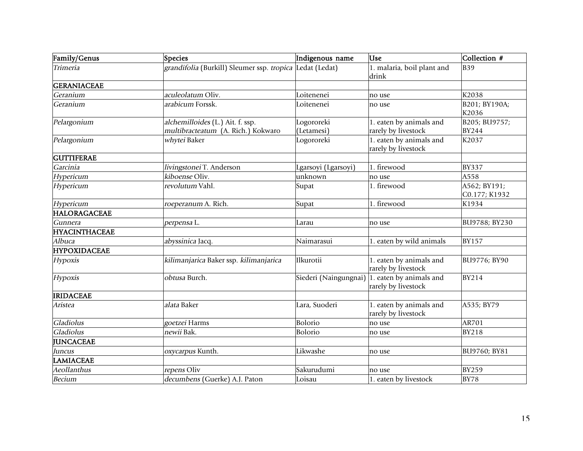| Family/Genus         | Species                                                                | Indigenous name          | <b>Use</b>                                                           | Collection #                  |
|----------------------|------------------------------------------------------------------------|--------------------------|----------------------------------------------------------------------|-------------------------------|
| Trimeria             | grandifolia (Burkill) Sleumer ssp. tropica Ledat (Ledat)               |                          | 1. malaria, boil plant and<br>drink                                  | <b>B39</b>                    |
| <b>GERANIACEAE</b>   |                                                                        |                          |                                                                      |                               |
| Geranium             | aculeolatum Oliv.                                                      | Loitenenei               | no use                                                               | K2038                         |
| Geranium             | arabicum Forssk.                                                       | Loitenenei               | no use                                                               | B201; BY190A;<br>K2036        |
| Pelargonium          | alchemilloides (L.) Ait. f. ssp.<br>multibracteatum (A. Rich.) Kokwaro | Logororeki<br>(Letamesi) | 1. eaten by animals and<br>rarely by livestock                       | B205; BU9757;<br><b>BY244</b> |
| Pelargonium          | whytei Baker                                                           | Logororeki               | 1. eaten by animals and<br>rarely by livestock                       | K2037                         |
| <b>GUTTIFERAE</b>    |                                                                        |                          |                                                                      |                               |
| Garcinia             | livingstonei T. Anderson                                               | Lgarsoyi (Lgarsoyi)      | 1. firewood                                                          | <b>BY337</b>                  |
| Hypericum            | kiboense Oliv.                                                         | unknown                  | no use                                                               | A558                          |
| Hypericum            | revolutum Vahl.                                                        | Supat                    | 1. firewood                                                          | A562; BY191;<br>C0.177; K1932 |
| Hypericum            | roeperanum A. Rich.                                                    | Supat                    | 1. firewood                                                          | K1934                         |
| <b>HALORAGACEAE</b>  |                                                                        |                          |                                                                      |                               |
| Gunnera              | perpensa L.                                                            | Larau                    | no use                                                               | BU9788; BY230                 |
| <b>HYACINTHACEAE</b> |                                                                        |                          |                                                                      |                               |
| Albuca               | <i>abyssinica</i> Jacq.                                                | Naimarasui               | 1. eaten by wild animals                                             | <b>BY157</b>                  |
| <b>HYPOXIDACEAE</b>  |                                                                        |                          |                                                                      |                               |
| Hypoxis              | kilimanjarica Baker ssp. kilimanjarica                                 | Ilkurotii                | 1. eaten by animals and<br>rarely by livestock                       | BU9776; BY90                  |
| Hypoxis              | obtusa Burch.                                                          |                          | Siederi (Naingungnai) 1. eaten by animals and<br>rarely by livestock | <b>BY214</b>                  |
| <b>IRIDACEAE</b>     |                                                                        |                          |                                                                      |                               |
| Aristea              | alata Baker                                                            | Lara, Suoderi            | 1. eaten by animals and<br>rarely by livestock                       | A535; BY79                    |
| Gladiolus            | goetzei Harms                                                          | Bolorio                  | no use                                                               | AR701                         |
| Gladiolus            | newii Bak.                                                             | Bolorio                  | no use                                                               | <b>BY218</b>                  |
| <b>JUNCACEAE</b>     |                                                                        |                          |                                                                      |                               |
| Juncus               | oxycarpus Kunth.                                                       | Likwashe                 | no use                                                               | BU9760; BY81                  |
| <b>LAMIACEAE</b>     |                                                                        |                          |                                                                      |                               |
| Aeollanthus          | repens Oliv                                                            | Sakurudumi               | no use                                                               | <b>BY259</b>                  |
| <b>Becium</b>        | decumbens (Guerke) A.J. Paton                                          | Loisau                   | 1. eaten by livestock                                                | <b>BY78</b>                   |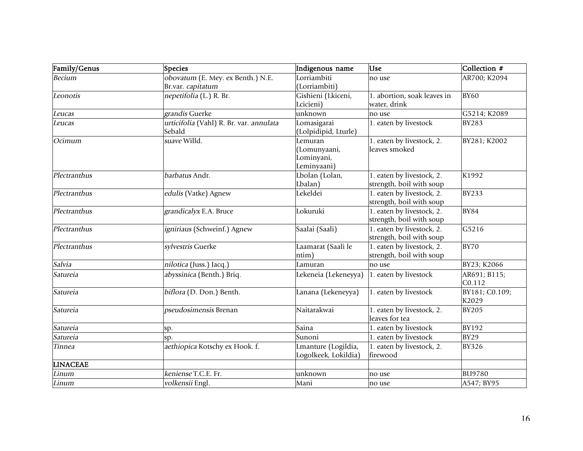| Family/Genus    | Species                                                | Indigenous name                                     | <b>Luse</b>                                           | Collection #            |
|-----------------|--------------------------------------------------------|-----------------------------------------------------|-------------------------------------------------------|-------------------------|
| <b>Becium</b>   | obovatum (E. Mey. ex Benth.) N.E.<br>Br.var. capitatum | Lorriambiti<br>(Lorriambiti)                        | no use                                                | AR700; K2094            |
| Leonotis        | nepetifolia (L.) R. Br.                                | Gishieni (Lkiceni,<br>Lcicieni)                     | 1. abortion, soak leaves in<br>water, drink           | <b>BY60</b>             |
| Leucas          | grandis Guerke                                         | unknown                                             | no use                                                | G5214; K2089            |
| Leucas          | urticifolia (Vahl) R. Br. var. annulata<br>Sebald      | Lomasigarai<br>(Lolpidipid, Lturle)                 | 1. eaten by livestock                                 | <b>BY283</b>            |
| Ocimum          | suave Willd.                                           | Lemuran<br>Lomunyaani,<br>Lominyani,<br>Leminyaani) | 1. eaten by livestock, 2.<br>leaves smoked            | BY281; K2002            |
| Plectranthus    | barbatus Andr.                                         | Lbolan (Lolan,<br>Lbalan)                           | 1. eaten by livestock, 2.<br>strength, boil with soup | K1992                   |
| Plectranthus    | edulis (Vatke) Agnew                                   | Lekeldei                                            | 1. eaten by livestock, 2.<br>strength, boil with soup | <b>BY233</b>            |
| Plectranthus    | grandicalyx E.A. Bruce                                 | Lokuruki                                            | 1. eaten by livestock, 2.<br>strength, boil with soup | <b>BY84</b>             |
| Plectranthus    | <i>igniriaus</i> (Schweinf.) Agnew                     | Saalai (Saali)                                      | 1. eaten by livestock, 2.<br>strength, boil with soup | G5216                   |
| Plectranthus    | sylvestris Guerke                                      | Laamarat (Saali le<br>ntim)                         | 1. eaten by livestock, 2.<br>strength, boil with soup | <b>BY70</b>             |
| Salvia          | nilotica (Juss.) Jacq.)                                | Lamuran                                             | no use                                                | BY23; K2066             |
| Satureia        | abyssinica (Benth.) Briq.                              | Lekeneia (Lekeneyya)                                | 1. eaten by livestock                                 | AR691; B115;<br>C0.112  |
| Satureia        | biflora (D. Don.) Benth.                               | Lanana (Lekeneyya)                                  | 1. eaten by livestock                                 | BY181; C0.109;<br>K2029 |
| Satureia        | pseudosimensis Brenan                                  | Naitarakwai                                         | 1. eaten by livestock, 2.<br>leaves for tea           | <b>BY205</b>            |
| Satureia        | sp.                                                    | Saina                                               | 1. eaten by livestock                                 | BY192                   |
| Satureia        | SD.                                                    | Sunoni                                              | 1. eaten by livestock                                 | <b>BY29</b>             |
| Tinnea          | aethiopica Kotschy ex Hook. f.                         | Lmanture (Logildia,<br>Logolkeek, Lokildia)         | 1. eaten by livestock, 2.<br>firewood                 | <b>BY326</b>            |
| <b>LINACEAE</b> |                                                        |                                                     |                                                       |                         |
| Linum           | keniense T.C.E. Fr.                                    | unknown                                             | no use                                                | <b>BU9780</b>           |
| Linum           | volkensii Engl.                                        | Mani                                                | no use                                                | A547; BY95              |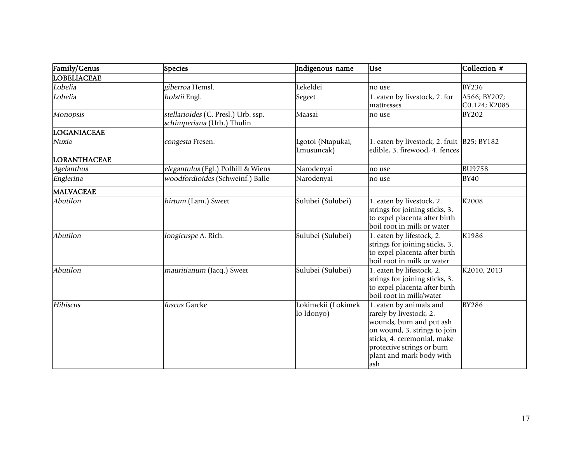| Family/Genus        | Species                                                           | Indigenous name                  | <b>Use</b>                                                                                                                                                                                                     | Collection #  |
|---------------------|-------------------------------------------------------------------|----------------------------------|----------------------------------------------------------------------------------------------------------------------------------------------------------------------------------------------------------------|---------------|
| <b>LOBELIACEAE</b>  |                                                                   |                                  |                                                                                                                                                                                                                |               |
| Lobelia             | giberroa Hemsl.                                                   | Lekeldei                         | no use                                                                                                                                                                                                         | <b>BY236</b>  |
| Lobelia             | holstii Engl.                                                     | Segeet                           | 1. eaten by livestock, 2. for                                                                                                                                                                                  | A566; BY207;  |
|                     |                                                                   |                                  | mattresses                                                                                                                                                                                                     | C0.124; K2085 |
| <b>Monopsis</b>     | stellarioides (C. Presl.) Urb. ssp.<br>schimperiana (Urb.) Thulin | Maasai                           | no use                                                                                                                                                                                                         | <b>BY202</b>  |
| LOGANIACEAE         |                                                                   |                                  |                                                                                                                                                                                                                |               |
| Nuxia               | congesta Fresen.                                                  | Lgotoi (Ntapukai,<br>Lmusuncak)  | 1. eaten by livestock, 2. fruit B25; BY182<br>edible, 3. firewood, 4. fences                                                                                                                                   |               |
| <b>LORANTHACEAE</b> |                                                                   |                                  |                                                                                                                                                                                                                |               |
| Agelanthus          | elegantulus (Egl.) Polhill & Wiens                                | Narodenyai                       | no use                                                                                                                                                                                                         | <b>BU9758</b> |
| Englerina           | woodfordioides (Schweinf.) Balle                                  | Narodenyai                       | no use                                                                                                                                                                                                         | <b>BY40</b>   |
| <b>MALVACEAE</b>    |                                                                   |                                  |                                                                                                                                                                                                                |               |
| Abutilon            | hirtum (Lam.) Sweet                                               | Sulubei (Sulubei)                | 1. eaten by livestock, 2.<br>strings for joining sticks, 3.<br>to expel placenta after birth<br>boil root in milk or water                                                                                     | K2008         |
| Abutilon            | longicuspe A. Rich.                                               | Sulubei (Sulubei)                | 1. eaten by lifestock, 2.<br>strings for joining sticks, 3.<br>to expel placenta after birth<br>boil root in milk or water                                                                                     | K1986         |
| Abutilon            | mauritianum (Jacq.) Sweet                                         | Sulubei (Sulubei)                | 1. eaten by lifestock, 2.<br>strings for joining sticks, 3.<br>to expel placenta after birth<br>boil root in milk/water                                                                                        | K2010, 2013   |
| Hibiscus            | fuscus Garcke                                                     | Lokimekii (Lokimek<br>lo ldonyo) | 1. eaten by animals and<br>rarely by livestock, 2.<br>wounds, burn and put ash<br>on wound, 3. strings to join<br>sticks, 4. ceremonial, make<br>protective strings or burn<br>plant and mark body with<br>ash | <b>BY286</b>  |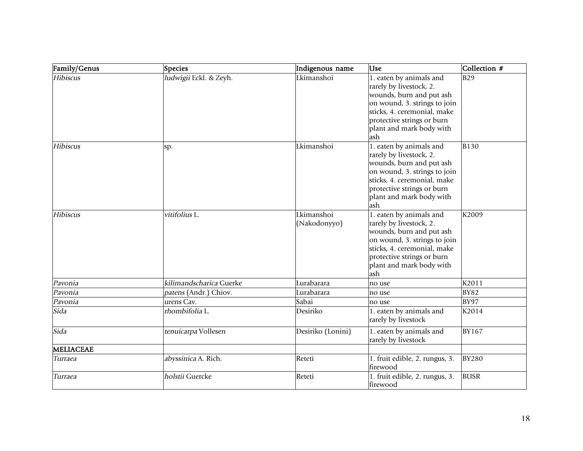| Family/Genus | Species                 | Indigenous name            | <b>Use</b>                                                                                                                                                                                                     | Collection # |
|--------------|-------------------------|----------------------------|----------------------------------------------------------------------------------------------------------------------------------------------------------------------------------------------------------------|--------------|
| Hibiscus     | ludwigii Eckl. & Zeyh.  | Lkimanshoi                 | 1. eaten by animals and<br>rarely by livestock, 2.<br>wounds, burn and put ash<br>on wound, 3. strings to join<br>sticks, 4. ceremonial, make<br>protective strings or burn<br>plant and mark body with<br>ash | <b>B29</b>   |
| Hibiscus     | sp.                     | Lkimanshoi                 | 1. eaten by animals and<br>rarely by livestock, 2.<br>wounds, burn and put ash<br>on wound, 3. strings to join<br>sticks, 4. ceremonial, make<br>protective strings or burn<br>plant and mark body with<br>ash | <b>B130</b>  |
| Hibiscus     | vitifolius L.           | Lkimanshoi<br>(Nakodonyyo) | 1. eaten by animals and<br>rarely by livestock, 2.<br>wounds, burn and put ash<br>on wound, 3. strings to join<br>sticks, 4. ceremonial, make<br>protective strings or burn<br>plant and mark body with<br>ash | K2009        |
| Pavonia      | kilimandscharica Guerke | Lurabarara                 | no use                                                                                                                                                                                                         | K2011        |
| Pavonia      | patens (Andr.) Chiov.   | Lurabarara                 | no use                                                                                                                                                                                                         | <b>BY82</b>  |
| Pavonia      | urens Cav.              | Sabai                      | no use                                                                                                                                                                                                         | <b>BY97</b>  |
| Sida         | rhombifolia L.          | Desiriko                   | 1. eaten by animals and<br>rarely by livestock                                                                                                                                                                 | K2014        |
| Sida         | tenuicarpa Vollesen     | Desiriko (Lonini)          | 1. eaten by animals and<br>rarely by livestock                                                                                                                                                                 | <b>BY167</b> |
| MELIACEAE    |                         |                            |                                                                                                                                                                                                                |              |
| Turraea      | abyssinica A. Rich.     | Reteti                     | 1. fruit edible, 2. rungus, 3.<br>firewood                                                                                                                                                                     | <b>BY280</b> |
| Turraea      | holstii Guercke         | Reteti                     | 1. fruit edible, 2. rungus, 3.<br>firewood                                                                                                                                                                     | <b>BUSR</b>  |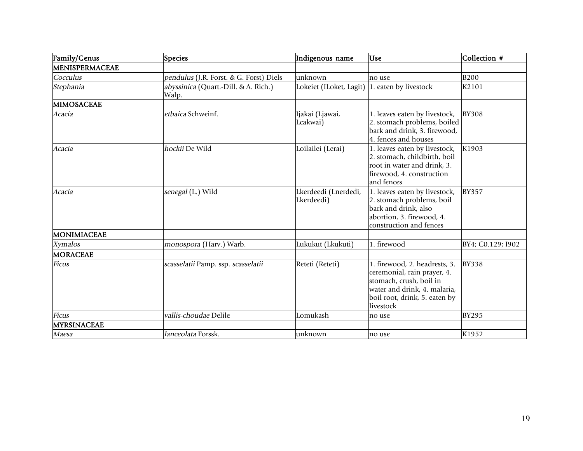| Family/Genus       | Species                                       | Indigenous name                    | <b>Use</b>                                                                                                                                                            | Collection #      |
|--------------------|-----------------------------------------------|------------------------------------|-----------------------------------------------------------------------------------------------------------------------------------------------------------------------|-------------------|
| MENISPERMACEAE     |                                               |                                    |                                                                                                                                                                       |                   |
| Cocculus           | pendulus (J.R. Forst. & G. Forst) Diels       | unknown                            | no use                                                                                                                                                                | <b>B200</b>       |
| Stephania          | abyssinica (Quart.-Dill. & A. Rich.)<br>Walp. | Lokeiet (ILoket, Lagit)            | 1. eaten by livestock                                                                                                                                                 | K2101             |
| MIMOSACEAE         |                                               |                                    |                                                                                                                                                                       |                   |
| Acacia             | etbaica Schweinf.                             | Ijakai (Ljawai,<br>Lcakwai)        | 1. leaves eaten by livestock,<br>2. stomach problems, boiled<br>bark and drink, 3. firewood,<br>4. fences and houses                                                  | <b>BY308</b>      |
| Acacia             | hockii De Wild                                | Loilailei (Lerai)                  | 1. leaves eaten by livestock,<br>2. stomach, childbirth, boil<br>root in water and drink, 3.<br>firewood, 4. construction<br>and fences                               | K1903             |
| <i>Acacia</i>      | senegal (L.) Wild                             | Lkerdeedi (Lnerdedi,<br>Lkerdeedi) | 1. leaves eaten by livestock,<br>2. stomach problems, boil<br>bark and drink, also<br>abortion, 3. firewood, 4.<br>construction and fences                            | <b>BY357</b>      |
| MONIMIACEAE        |                                               |                                    |                                                                                                                                                                       |                   |
| <b>Xymalos</b>     | monospora (Harv.) Warb.                       | Lukukut (Lkukuti)                  | 1. firewood                                                                                                                                                           | BY4; C0.129; I902 |
| <b>MORACEAE</b>    |                                               |                                    |                                                                                                                                                                       |                   |
| <b>Ficus</b>       | scasselatii Pamp. ssp. scasselatii            | Reteti (Reteti)                    | 1. firewood, 2. headrests, 3.<br>ceremonial, rain prayer, 4.<br>stomach, crush, boil in<br>water and drink, 4. malaria,<br>boil root, drink, 5. eaten by<br>livestock | <b>BY338</b>      |
| <b>Ficus</b>       | vallis-choudae Delile                         | Lomukash                           | no use                                                                                                                                                                | <b>BY295</b>      |
| <b>MYRSINACEAE</b> |                                               |                                    |                                                                                                                                                                       |                   |
| Maesa              | lanceolata Forssk.                            | lunknown                           | no use                                                                                                                                                                | K1952             |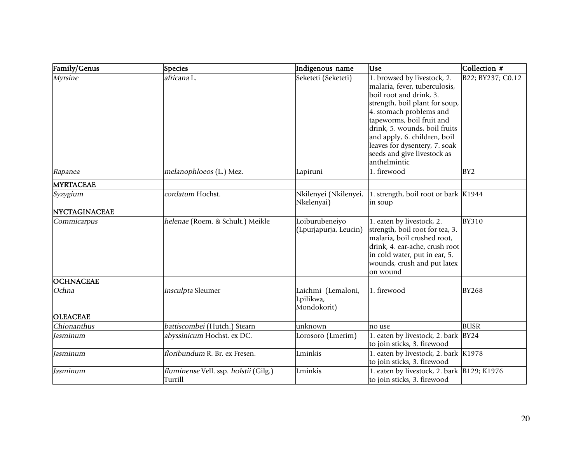| Family/Genus         | Species                                          | Indigenous name                                | <b>Use</b>                                                                                                                                                                                                                                                                                                                         | Collection #      |
|----------------------|--------------------------------------------------|------------------------------------------------|------------------------------------------------------------------------------------------------------------------------------------------------------------------------------------------------------------------------------------------------------------------------------------------------------------------------------------|-------------------|
| <b>Myrsine</b>       | africana L.                                      | Seketeti (Seketeti)                            | 1. browsed by livestock, 2.<br>malaria, fever, tuberculosis,<br>boil root and drink, 3.<br>strength, boil plant for soup,<br>4. stomach problems and<br>tapeworms, boil fruit and<br>drink, 5. wounds, boil fruits<br>and apply, 6. children, boil<br>leaves for dysentery, 7. soak<br>seeds and give livestock as<br>anthelmintic | B22; BY237; C0.12 |
| Rapanea              | melanophloeos (L.) Mez.                          | Lapiruni                                       | 1. firewood                                                                                                                                                                                                                                                                                                                        | BY <sub>2</sub>   |
| <b>MYRTACEAE</b>     |                                                  |                                                |                                                                                                                                                                                                                                                                                                                                    |                   |
| Syzygium             | cordatum Hochst.                                 | Nkilenyei (Nkilenyei,<br>Nkelenyai)            | 1. strength, boil root or bark K1944<br>in soup                                                                                                                                                                                                                                                                                    |                   |
| <b>NYCTAGINACEAE</b> |                                                  |                                                |                                                                                                                                                                                                                                                                                                                                    |                   |
| Commicarpus          | helenae (Roem. & Schult.) Meikle                 | Loiburubeneiyo<br>(Lpurjapurja, Leucin)        | 1. eaten by livestock, 2.<br>strength, boil root for tea, 3.<br>malaria, boil crushed root,<br>drink, 4. ear-ache, crush root<br>in cold water, put in ear, 5.<br>wounds, crush and put latex<br>on wound                                                                                                                          | <b>BY310</b>      |
| <b>OCHNACEAE</b>     |                                                  |                                                |                                                                                                                                                                                                                                                                                                                                    |                   |
| Ochna                | insculpta Sleumer                                | Laichmi (Lemaloni,<br>Lpilikwa,<br>Mondokorit) | 1. firewood                                                                                                                                                                                                                                                                                                                        | <b>BY268</b>      |
| <b>OLEACEAE</b>      |                                                  |                                                |                                                                                                                                                                                                                                                                                                                                    |                   |
| Chionanthus          | battiscombei (Hutch.) Stearn                     | unknown                                        | no use                                                                                                                                                                                                                                                                                                                             | <b>BUSR</b>       |
| Jasminum             | abyssinicum Hochst. ex DC.                       | Lorosoro (Lmerim)                              | 1. eaten by livestock, 2. bark BY24<br>to join sticks, 3. firewood                                                                                                                                                                                                                                                                 |                   |
| Jasminum             | floribundum R. Br. ex Fresen.                    | Lminkis                                        | 1. eaten by livestock, 2. bark K1978<br>to join sticks, 3. firewood                                                                                                                                                                                                                                                                |                   |
| Jasminum             | fluminense Vell. ssp. holstii (Gilg.)<br>Turrill | Lminkis                                        | 1. eaten by livestock, 2. bark B129; K1976<br>to join sticks, 3. firewood                                                                                                                                                                                                                                                          |                   |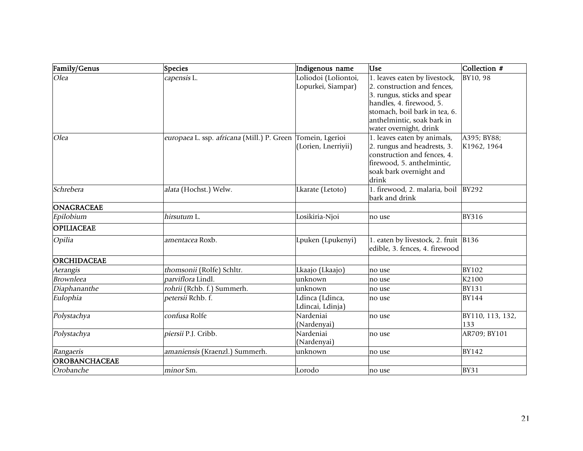| Family/Genus         | Species                                                    | Indigenous name                            | <b>Use</b>                                                                                  | Collection #     |
|----------------------|------------------------------------------------------------|--------------------------------------------|---------------------------------------------------------------------------------------------|------------------|
| Olea                 | capensis L.                                                | Loliodoi (Loliontoi,<br>Lopurkei, Siampar) | 1. leaves eaten by livestock,<br>2. construction and fences,<br>3. rungus, sticks and spear | BY10, 98         |
|                      |                                                            |                                            | handles, 4. firewood, 5.                                                                    |                  |
|                      |                                                            |                                            | stomach, boil bark in tea, 6.                                                               |                  |
|                      |                                                            |                                            | anthelmintic, soak bark in                                                                  |                  |
|                      |                                                            |                                            | water overnight, drink                                                                      |                  |
| Olea                 | europaea L. ssp. africana (Mill.) P. Green Tomein, Lgerioi |                                            | 1. leaves eaten by animals,                                                                 | A395; BY88;      |
|                      |                                                            | (Lorien, Lnerriyii)                        | 2. rungus and headrests, 3.                                                                 | K1962, 1964      |
|                      |                                                            |                                            | construction and fences, 4.                                                                 |                  |
|                      |                                                            |                                            | firewood, 5. anthelmintic,                                                                  |                  |
|                      |                                                            |                                            | soak bark overnight and                                                                     |                  |
|                      |                                                            |                                            | drink                                                                                       |                  |
| Schrebera            | alata (Hochst.) Welw.                                      | Lkarate (Letoto)                           | 1. firewood, 2. malaria, boil                                                               | <b>BY292</b>     |
|                      |                                                            |                                            | bark and drink                                                                              |                  |
| <b>ONAGRACEAE</b>    |                                                            |                                            |                                                                                             |                  |
| Epilobium            | hirsutum L.                                                | Losikiria-Njoi                             | no use                                                                                      | <b>BY316</b>     |
| <b>OPILIACEAE</b>    |                                                            |                                            |                                                                                             |                  |
| Opilia               | amentacea Roxb.                                            | Lpuken (Lpukenyi)                          | 1. eaten by livestock, 2. fruit B136                                                        |                  |
|                      |                                                            |                                            | edible, 3. fences, 4. firewood                                                              |                  |
| ORCHIDACEAE          |                                                            |                                            |                                                                                             |                  |
| Aerangis             | thomsonii (Rolfe) Schltr.                                  | Lkaajo (Lkaajo)                            | no use                                                                                      | <b>BY102</b>     |
| <b>Brownleea</b>     | parviflora Lindl.                                          | unknown                                    | no use                                                                                      | K2100            |
| Diaphananthe         | rohrii (Rchb. f.) Summerh.                                 | unknown                                    | no use                                                                                      | <b>BY131</b>     |
| Eulophia             | petersii Rchb. f.                                          | Ldinca (Ldinca,                            | no use                                                                                      | <b>BY144</b>     |
|                      |                                                            | Ldincai, Ldinja)                           |                                                                                             |                  |
| Polystachya          | confusa Rolfe                                              | Nardeniai                                  | no use                                                                                      | BY110, 113, 132, |
|                      |                                                            | (Nardenyai)                                |                                                                                             | 133              |
| Polystachya          | piersii P.J. Cribb.                                        | Nardeniai                                  | no use                                                                                      | AR709; BY101     |
|                      |                                                            | (Nardenyai)                                |                                                                                             |                  |
| Rangaeris            | amaniensis (Kraenzl.) Summerh.                             | unknown                                    | no use                                                                                      | <b>BY142</b>     |
| <b>OROBANCHACEAE</b> |                                                            |                                            |                                                                                             |                  |
| Orobanche            | minor Sm.                                                  | Lorodo                                     | no use                                                                                      | <b>BY31</b>      |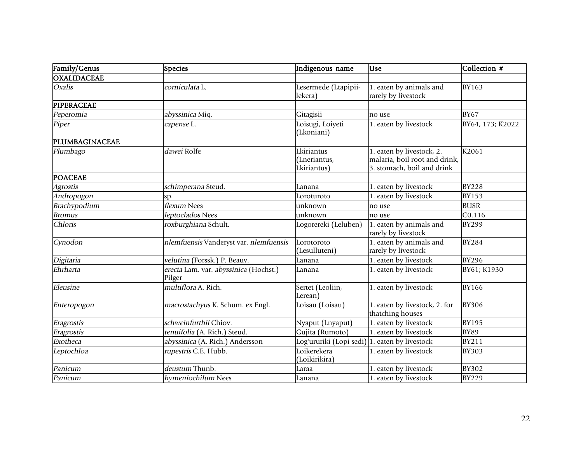| Family/Genus           | Species                                         | Indigenous name                               | <b>Use</b>                                        | Collection #     |
|------------------------|-------------------------------------------------|-----------------------------------------------|---------------------------------------------------|------------------|
| <b>OXALIDACEAE</b>     |                                                 |                                               |                                                   |                  |
| Oxalis                 | corniculata L.                                  | Lesermede (Ltapipii-                          | 1. eaten by animals and                           | <b>BY163</b>     |
|                        |                                                 | lekera)                                       | rarely by livestock                               |                  |
| <b>PIPERACEAE</b>      |                                                 |                                               |                                                   |                  |
| Peperomia              | abyssinica Miq.                                 | Gitagisii                                     | no use                                            | <b>BY67</b>      |
| Piper                  | capense L.                                      | Loisugi, Loiyeti<br>(Lkoniani)                | 1. eaten by livestock                             | BY64, 173; K2022 |
| PLUMBAGINACEAE         |                                                 |                                               |                                                   |                  |
| Plumbago               | dawei Rolfe                                     | Lkiriantus                                    | 1. eaten by livestock, 2.                         | K2061            |
|                        |                                                 | (Lneriantus,                                  | malaria, boil root and drink,                     |                  |
|                        |                                                 | Lkiriantus)                                   | 3. stomach, boil and drink                        |                  |
| <b>POACEAE</b>         |                                                 |                                               |                                                   |                  |
| <i><b>Agrostis</b></i> | schimperana Steud.                              | Lanana                                        | 1. eaten by livestock                             | <b>BY228</b>     |
| Andropogon             | SD.                                             | Loroturoto                                    | 1. eaten by livestock                             | <b>BY153</b>     |
| Brachypodium           | flexum Nees                                     | unknown                                       | no use                                            | <b>BUSR</b>      |
| <b>Bromus</b>          | leptoclados Nees                                | unknown                                       | no use                                            | CO.116           |
| Chloris                | roxburghiana Schult.                            | Logorereki (Leluben)                          | 1. eaten by animals and<br>rarely by livestock    | <b>BY299</b>     |
| Cynodon                | nlemfuensis Vanderyst var. nlemfuensis          | Lorotoroto<br>(Lesulluteni)                   | 1. eaten by animals and<br>rarely by livestock    | <b>BY284</b>     |
| Digitaria              | velutina (Forssk.) P. Beauv.                    | Lanana                                        | 1. eaten by livestock                             | <b>BY296</b>     |
| Ehrharta               | erecta Lam. var. abyssinica (Hochst.)<br>Pilger | Lanana                                        | 1. eaten by livestock                             | BY61; K1930      |
| Eleusine               | multiflora A. Rich.                             | Sertet (Leoliin,<br>Lerean`                   | 1. eaten by livestock                             | <b>BY166</b>     |
| Enteropogon            | macrostachyus K. Schum. ex Engl.                | Loisau (Loisau)                               | 1. eaten by livestock, 2. for<br>thatching houses | <b>BY306</b>     |
| Eragrostis             | schweinfurthii Chiov.                           | Nyaput (Lnyaput)                              | 1. eaten by livestock                             | <b>BY195</b>     |
| Eragrostis             | tenuifolia (A. Rich.) Steud.                    | Gujita (Rumoto)                               | 1. eaten by livestock                             | <b>BY89</b>      |
| Exotheca               | abyssinica (A. Rich.) Andersson                 | Log'ururiki (Lopi sedi) 1. eaten by livestock |                                                   | <b>BY211</b>     |
| Leptochloa             | rupestris C.E. Hubb.                            | Loikerekera<br>(Loikirikira)                  | 1. eaten by livestock                             | <b>BY303</b>     |
| Panicum                | deustum Thunb.                                  | Laraa                                         | 1. eaten by livestock                             | <b>BY302</b>     |
| Panicum                | hymeniochilum Nees                              | Lanana                                        | 1. eaten by livestock                             | <b>BY229</b>     |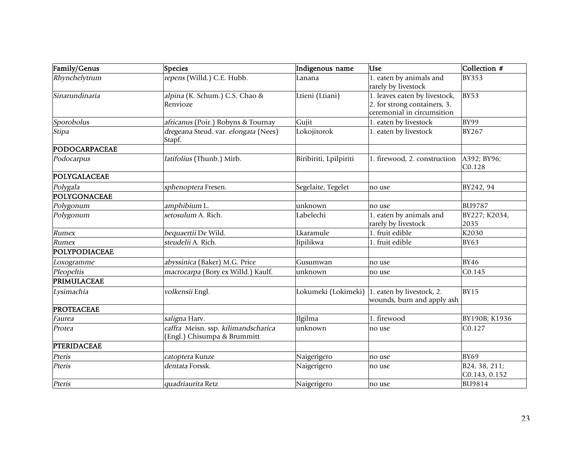| Family/Genus        | Species                                                            | Indigenous name        | <b>Use</b>                                                                                  | Collection #                   |
|---------------------|--------------------------------------------------------------------|------------------------|---------------------------------------------------------------------------------------------|--------------------------------|
| Rhynchelytrum       | repens (Willd.) C.E. Hubb.                                         | Lanana                 | 1. eaten by animals and<br>rarely by livestock                                              | <b>BY353</b>                   |
| Sinarundinaria      | alpina (K. Schum.) C.S. Chao &<br>Renvioze                         | Ltieni (Ltiani)        | 1. leaves eaten by livestock,<br>2. for strong containers, 3.<br>ceremonial in circumsition | BY53                           |
| Sporobolus          | africanus (Poir.) Robyns & Tournay                                 | Gujit                  | 1. eaten by livestock                                                                       | BY99                           |
| Stipa               | dregeana Steud. var. elongata (Nees)<br>Stapf.                     | Lokojitorok            | 1. eaten by livestock                                                                       | <b>BY267</b>                   |
| PODOCARPACEAE       |                                                                    |                        |                                                                                             |                                |
| Podocarpus          | latifolius (Thunb.) Mirb.                                          | Biribiriti, Lpilpiriti | 1. firewood, 2. construction                                                                | A392; BY96;<br>C0.128          |
| <b>POLYGALACEAE</b> |                                                                    |                        |                                                                                             |                                |
| Polygala            | sphenoptera Fresen.                                                | Segelaite, Tegelet     | no use                                                                                      | BY242, 94                      |
| POLYGONACEAE        |                                                                    |                        |                                                                                             |                                |
| Polygonum           | amphibium L.                                                       | unknown                | no use                                                                                      | <b>BU9787</b>                  |
| Polygonum           | setosulum A. Rich.                                                 | Labelechi              | 1. eaten by animals and<br>rarely by livestock                                              | BY227; K2034,<br>2035          |
| Rumex               | bequaertii De Wild.                                                | Lkaramule              | 1. fruit edible                                                                             | K2030                          |
| Rumex               | steudelii A. Rich.                                                 | Jipilikwa              | 1. fruit edible                                                                             | <b>BY63</b>                    |
| POLYPODIACEAE       |                                                                    |                        |                                                                                             |                                |
| Loxogramme          | abyssinica (Baker) M.G. Price                                      | Gusumwan               | no use                                                                                      | <b>BY46</b>                    |
| Pleopeltis          | macrocarpa (Bory ex Willd.) Kaulf.                                 | unknown                | no use                                                                                      | C0.145                         |
| PRIMULACEAE         |                                                                    |                        |                                                                                             |                                |
| Lysimachia          | volkensii Engl.                                                    | Lokumeki (Lokimeki)    | 1. eaten by livestock, 2.<br>wounds, burn and apply ash                                     | <b>BY15</b>                    |
| <b>PROTEACEAE</b>   |                                                                    |                        |                                                                                             |                                |
| Faurea              | saligna Harv.                                                      | Ilgilma                | 1. firewood                                                                                 | BY190B; K1936                  |
| Protea              | caffra Meisn. ssp. kilimandscharica<br>(Engl.) Chisumpa & Brummitt | unknown                | no use                                                                                      | C0.127                         |
| <b>PTERIDACEAE</b>  |                                                                    |                        |                                                                                             |                                |
| Pteris              | catoptera Kunze                                                    | Naigerigero            | no use                                                                                      | <b>BY69</b>                    |
| Pteris              | dentata Forssk.                                                    | Naigerigero            | no use                                                                                      | B24, 38, 211;<br>C0.143, 0.152 |
| Pteris              | quadriaurita Retz                                                  | Naigerigero            | no use                                                                                      | <b>BU9814</b>                  |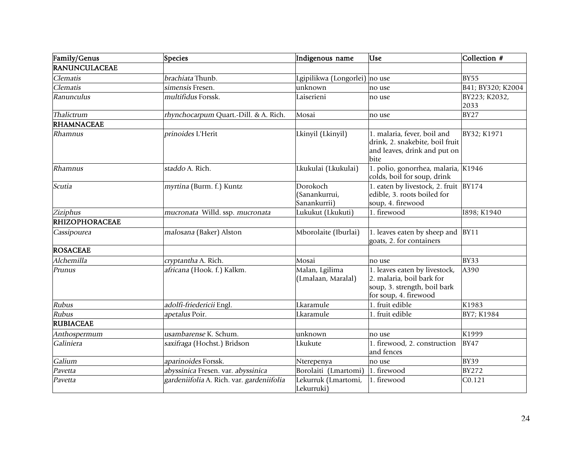| Family/Genus          | Species                                   | Indigenous name                           | Use                                                                                                                 | Collection #          |
|-----------------------|-------------------------------------------|-------------------------------------------|---------------------------------------------------------------------------------------------------------------------|-----------------------|
| RANUNCULACEAE         |                                           |                                           |                                                                                                                     |                       |
| Clematis              | brachiata Thunb.                          | Lgipilikwa (Longorlei) no use             |                                                                                                                     | <b>BY55</b>           |
| Clematis              | simensis Fresen.                          | unknown                                   | no use                                                                                                              | B41; BY320; K2004     |
| Ranunculus            | multifidus Forssk.                        | Laiserieni                                | no use                                                                                                              | BY223; K2032,<br>2033 |
| Thalictrum            | rhynchocarpum Quart.-Dill. & A. Rich.     | Mosai                                     | no use                                                                                                              | <b>BY27</b>           |
| <b>RHAMNACEAE</b>     |                                           |                                           |                                                                                                                     |                       |
| Rhamnus               | prinoides L'Herit                         | Lkinyil (Lkinyil)                         | 1. malaria, fever, boil and<br>drink, 2. snakebite, boil fruit<br>and leaves, drink and put on<br>bite              | BY32; K1971           |
| Rhamnus               | staddo A. Rich.                           | Lkukulai (Lkukulai)                       | 1. polio, gonorrhea, malaria, K1946<br>colds, boil for soup, drink                                                  |                       |
| Scutia                | myrtina (Burm. f.) Kuntz                  | Dorokoch<br>(Sanankurrui,<br>Sanankurrii) | 1. eaten by livestock, 2. fruit BY174<br>edible, 3. roots boiled for<br>soup, 4. firewood                           |                       |
| Ziziphus              | mucronata Willd. ssp. mucronata           | Lukukut (Lkukuti)                         | 1. firewood                                                                                                         | I898; K1940           |
| <b>RHIZOPHORACEAE</b> |                                           |                                           |                                                                                                                     |                       |
| Cassipourea           | malosana (Baker) Alston                   | Mborolaite (Iburlai)                      | 1. leaves eaten by sheep and<br>goats, 2. for containers                                                            | <b>BY11</b>           |
| <b>ROSACEAE</b>       |                                           |                                           |                                                                                                                     |                       |
| Alchemilla            | cryptantha A. Rich.                       | Mosai                                     | no use                                                                                                              | <b>BY33</b>           |
| Prunus                | africana (Hook. f.) Kalkm.                | Malan, Lgilima<br>(Lmalaan, Maralal)      | 1. leaves eaten by livestock,<br>2. malaria, boil bark for<br>soup, 3. strength, boil bark<br>for soup, 4. firewood | A390                  |
| Rubus                 | adolfi-friedericii Engl.                  | Lkaramule                                 | 1. fruit edible                                                                                                     | K1983                 |
| Rubus                 | apetalus Poir.                            | Lkaramule                                 | 1. fruit edible                                                                                                     | BY7; K1984            |
| <b>RUBIACEAE</b>      |                                           |                                           |                                                                                                                     |                       |
| Anthospermum          | usambarense K. Schum.                     | unknown                                   | no use                                                                                                              | K1999                 |
| Galiniera             | saxifraga (Hochst.) Bridson               | Lkukute                                   | 1. firewood, 2. construction<br>and fences                                                                          | <b>BY47</b>           |
| Galium                | aparinoides Forssk.                       | Nterepenya                                | no use                                                                                                              | <b>BY39</b>           |
| Pavetta               | abyssinica Fresen. var. abyssinica        | Borolaiti (Lmartomi)                      | 1. firewood                                                                                                         | <b>BY272</b>          |
| Pavetta               | gardeniifolia A. Rich. var. gardeniifolia | Lekurruk (Lmartomi,<br>Lekurruki)         | 1. firewood                                                                                                         | CO.121                |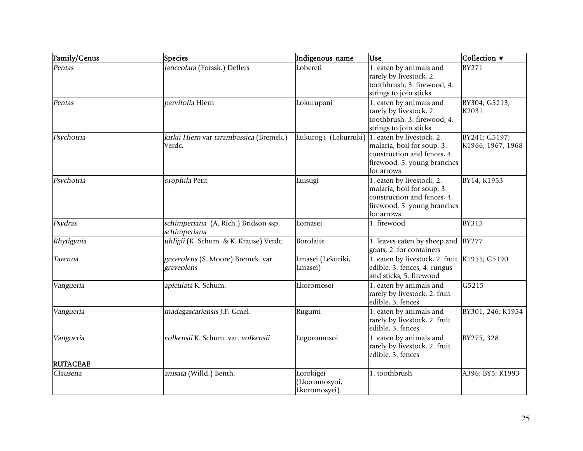| Family/Genus    | <b>Species</b>                                       | Indigenous name                           | <b>Use</b>                                                                                                                          | Collection #                       |
|-----------------|------------------------------------------------------|-------------------------------------------|-------------------------------------------------------------------------------------------------------------------------------------|------------------------------------|
| Pentas          | lanceolata (Forssk.) Deflers                         | Lobereti                                  | 1. eaten by animals and<br>rarely by livestock, 2.<br>toothbrush, 3. firewood, 4.<br>strings to join sticks                         | <b>BY271</b>                       |
| Pentas          | parvifolia Hiern                                     | Lokurupani                                | 1. eaten by animals and<br>rarely by livestock, 2.<br>toothbrush, 3. firewood, 4.<br>strings to join sticks                         | BY304; G5213;<br>K2031             |
| Psychotria      | kirkii Hiern var tarambassica (Bremek.)<br>Verdc.    | Lukurog'i (Lekurruki)                     | 1. eaten by livestock, 2.<br>malaria, boil for soup, 3.<br>construction and fences, 4.<br>firewood, 5. young branches<br>for arrows | BY241; G5197;<br>K1966, 1967, 1968 |
| Psychotria      | orophila Petit                                       | Luisugi                                   | 1. eaten by livestock, 2.<br>malaria, boil for soup, 3.<br>construction and fences, 4.<br>firewood, 5. young branches<br>for arrows | BY14, K1953                        |
| Psydrax         | schimperiana (A. Rich.) Bridson ssp.<br>schimperiana | Lomasei                                   | 1. firewood                                                                                                                         | <b>BY315</b>                       |
| Rhytigynia      | uhligii (K. Schum. & K. Krause) Verdc.               | Borolaite                                 | 1. leaves eaten by sheep and<br>goats, 2. for containers                                                                            | <b>BY277</b>                       |
| Tarenna         | graveolens (S. Moore) Bremek. var.<br>graveolens     | Lmasei (Lekuriki,<br>Lmasei)              | 1. eaten by livestock, 2. fruit K1955; G5190<br>edible, 3. fences, 4. rungus<br>and sticks, 5. firewood                             |                                    |
| Vangueria       | apiculata K. Schum.                                  | Lkoromosei                                | 1. eaten by animals and<br>rarely by livestock, 2. fruit<br>edible, 3. fences                                                       | G5215                              |
| Vangueria       | madagascariensis J.F. Gmel.                          | Rugumi                                    | 1. eaten by animals and<br>rarely by livestock, 2. fruit<br>edible, 3. fences                                                       | BY301, 246; K1954                  |
| Vangueria       | volkensii K. Schum. var. volkensii                   | Lugoromusoi                               | 1. eaten by animals and<br>rarely by livestock, 2. fruit<br>edible, 3. fences                                                       | BY275, 328                         |
| <b>RUTACEAE</b> |                                                      |                                           |                                                                                                                                     |                                    |
| Clausena        | anisata (Willd.) Benth.                              | Lorokigei<br>Lkoromosyoi,<br>Lkoromosyei) | 1. toothbrush                                                                                                                       | A396; BY5; K1993                   |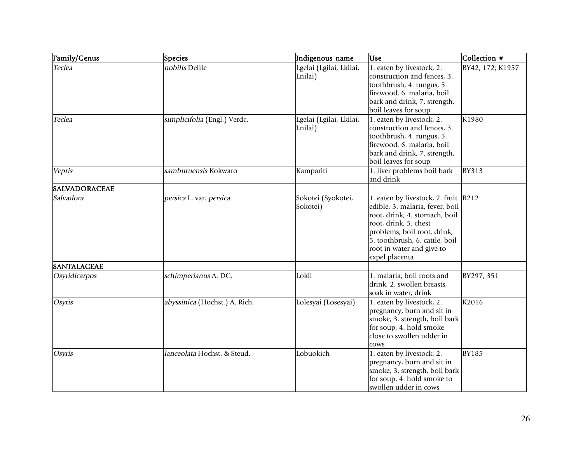| Family/Genus         | <b>Species</b>                | Indigenous name                    | Use                                                                                                                                                                                                                                          | Collection #     |
|----------------------|-------------------------------|------------------------------------|----------------------------------------------------------------------------------------------------------------------------------------------------------------------------------------------------------------------------------------------|------------------|
| Teclea               | nobilis Delile                | Lgelai (Lgilai, Lkilai,<br>Lnilai) | 1. eaten by livestock, 2.<br>construction and fences, 3.<br>toothbrush, 4. rungus, 5.<br>firewood, 6. malaria, boil<br>bark and drink, 7. strength,<br>boil leaves for soup                                                                  | BY42, 172; K1957 |
| Teclea               | simplicifolia (Engl.) Verdc.  | Lgelai (Lgilai, Lkilai,<br>Lnilai) | 1. eaten by livestock, 2.<br>construction and fences, 3.<br>toothbrush, 4. rungus, 5.<br>firewood, 6. malaria, boil<br>bark and drink, 7. strength,<br>boil leaves for soup                                                                  | K1980            |
| Vepris               | samburuensis Kokwaro          | Kampariti                          | 1. liver problems boil bark<br>and drink                                                                                                                                                                                                     | <b>BY313</b>     |
| <b>SALVADORACEAE</b> |                               |                                    |                                                                                                                                                                                                                                              |                  |
| Salvadora            | persica L. var. persica       | Sokotei (Syokotei,<br>Sokotei)     | 1. eaten by livestock, 2. fruit<br>edible, 3. malaria, fever, boil<br>root, drink, 4. stomach, boil<br>root, drink, 5. chest<br>problems, boil root, drink,<br>5. toothbrush, 6. cattle, boil<br>root in water and give to<br>expel placenta | B212             |
| <b>SANTALACEAE</b>   |                               |                                    |                                                                                                                                                                                                                                              |                  |
| Osyridicarpos        | schimperianus A. DC.          | Lokii                              | 1. malaria, boil roots and<br>drink, 2. swollen breasts,<br>soak in water, drink                                                                                                                                                             | BY297, 351       |
| Osyris               | abyssinica (Hochst.) A. Rich. | Lolesyai (Losesyai)                | 1. eaten by livestock, 2.<br>pregnancy, burn and sit in<br>smoke, 3. strength, boil bark<br>for soup, 4. hold smoke<br>close to swollen udder in<br>cows                                                                                     | K2016            |
| <b>Osyris</b>        | lanceolata Hochst. & Steud.   | Lobuokich                          | 1. eaten by livestock, 2.<br>pregnancy, burn and sit in<br>smoke, 3. strength, boil bark<br>for soup, 4. hold smoke to<br>swollen udder in cows                                                                                              | <b>BY185</b>     |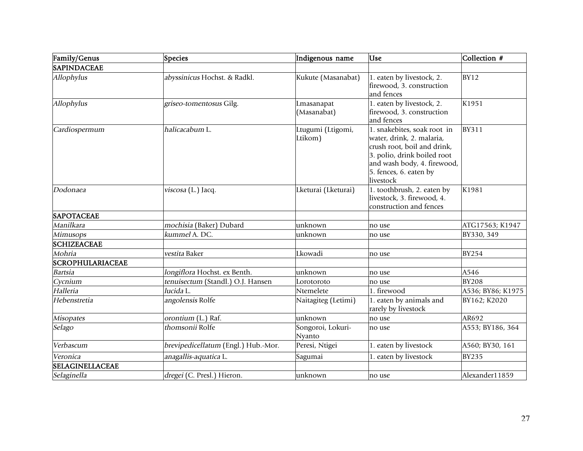| Family/Genus            | Species                             | Indigenous name              | <b>Lise</b>                                                                                                                                                                                  | Collection #      |
|-------------------------|-------------------------------------|------------------------------|----------------------------------------------------------------------------------------------------------------------------------------------------------------------------------------------|-------------------|
| <b>SAPINDACEAE</b>      |                                     |                              |                                                                                                                                                                                              |                   |
| Allophylus              | abyssinicus Hochst. & Radkl.        | Kukute (Masanabat)           | 1. eaten by livestock, 2.<br>firewood, 3. construction<br>and fences                                                                                                                         | <b>BY12</b>       |
| Allophylus              | griseo-tomentosus Gilg.             | Lmasanapat<br>(Masanabat)    | 1. eaten by livestock, 2.<br>firewood, 3. construction<br>and fences                                                                                                                         | K1951             |
| Cardiospermum           | halicacabum L.                      | Ltugumi (Ltigomi,<br>Ltikom) | 1. snakebites, soak root in<br>water, drink, 2. malaria,<br>crush root, boil and drink,<br>3. polio, drink boiled root<br>and wash body, 4. firewood,<br>5. fences, 6. eaten by<br>livestock | <b>BY311</b>      |
| Dodonaea                | viscosa (L.) Jacq.                  | Lketurai (Lketurai)          | 1. toothbrush, 2. eaten by<br>livestock, 3. firewood, 4.<br>construction and fences                                                                                                          | K1981             |
| <b>SAPOTACEAE</b>       |                                     |                              |                                                                                                                                                                                              |                   |
| Manilkara               | mochisia (Baker) Dubard             | unknown                      | no use                                                                                                                                                                                       | ATG17563; K1947   |
| Mimusops                | kummel A. DC.                       | unknown                      | no use                                                                                                                                                                                       | BY330, 349        |
| <b>SCHIZEACEAE</b>      |                                     |                              |                                                                                                                                                                                              |                   |
| Mohria                  | vestita Baker                       | Lkowadi                      | no use                                                                                                                                                                                       | <b>BY254</b>      |
| <b>SCROPHULARIACEAE</b> |                                     |                              |                                                                                                                                                                                              |                   |
| <b>Bartsia</b>          | longiflora Hochst. ex Benth.        | unknown                      | no use                                                                                                                                                                                       | A546              |
| Cycnium                 | tenuisectum (Standl.) O.J. Hansen   | Lorotoroto                   | no use                                                                                                                                                                                       | <b>BY208</b>      |
| Halleria                | lucida L.                           | Ntemelete                    | 1. firewood                                                                                                                                                                                  | A536; BY86; K1975 |
| Hebenstretia            | angolensis Rolfe                    | Naitagiteg (Letimi)          | 1. eaten by animals and<br>rarely by livestock                                                                                                                                               | BY162; K2020      |
| <b>Misopates</b>        | orontium (L.) Raf.                  | unknown                      | no use                                                                                                                                                                                       | AR692             |
| Selago                  | thomsonii Rolfe                     | Songoroi, Lokuri-<br>Nyanto  | no use                                                                                                                                                                                       | A553; BY186, 364  |
| Verbascum               | brevipedicellatum (Engl.) Hub.-Mor. | Peresi, Ntigei               | 1. eaten by livestock                                                                                                                                                                        | A560; BY30, 161   |
| Veronica                | anagallis-aquatica L.               | Sagumai                      | 1. eaten by livestock                                                                                                                                                                        | <b>BY235</b>      |
| <b>SELAGINELLACEAE</b>  |                                     |                              |                                                                                                                                                                                              |                   |
| Selaginella             | dregei (C. Presl.) Hieron.          | unknown                      | no use                                                                                                                                                                                       | Alexander11859    |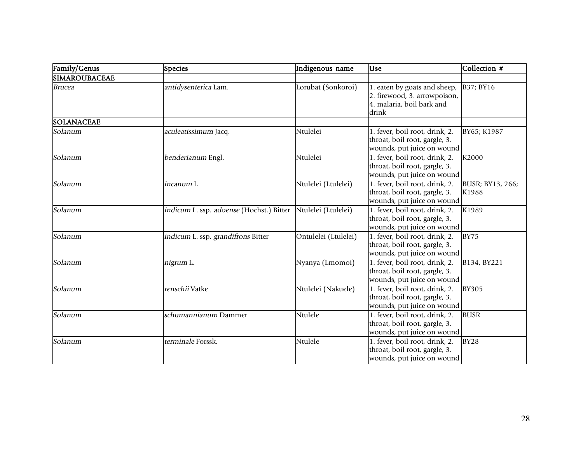| Family/Genus         | Species                                  | Indigenous name      | <b>Use</b>                                                                                         | Collection #              |
|----------------------|------------------------------------------|----------------------|----------------------------------------------------------------------------------------------------|---------------------------|
| <b>SIMAROUBACEAE</b> |                                          |                      |                                                                                                    |                           |
| <b>Brucea</b>        | antidysenterica Lam.                     | Lorubat (Sonkoroi)   | 1. eaten by goats and sheep,<br>2. firewood, 3. arrowpoison,<br>4. malaria, boil bark and<br>drink | B37; BY16                 |
| <b>SOLANACEAE</b>    |                                          |                      |                                                                                                    |                           |
| Solanum              | aculeatissimum Jacq.                     | Ntulelei             | 1. fever, boil root, drink, 2.<br>throat, boil root, gargle, 3.<br>wounds, put juice on wound      | BY65; K1987               |
| Solanum              | benderianum Engl.                        | Ntulelei             | 1. fever, boil root, drink, 2.<br>throat, boil root, gargle, 3.<br>wounds, put juice on wound      | K2000                     |
| Solanum              | incanum L                                | Ntulelei (Ltulelei)  | 1. fever, boil root, drink, 2.<br>throat, boil root, gargle, 3.<br>wounds, put juice on wound      | BUSR; BY13, 266;<br>K1988 |
| Solanum              | indicum L. ssp. adoense (Hochst.) Bitter | Ntulelei (Ltulelei)  | 1. fever, boil root, drink, 2.<br>throat, boil root, gargle, 3.<br>wounds, put juice on wound      | K1989                     |
| Solanum              | indicum L. ssp. grandifrons Bitter       | Ontulelei (Ltulelei) | 1. fever, boil root, drink, 2.<br>throat, boil root, gargle, 3.<br>wounds, put juice on wound      | <b>BY75</b>               |
| Solanum              | nigrum L.                                | Nyanya (Lmomoi)      | $1.$ fever, boil root, drink, 2.<br>throat, boil root, gargle, 3.<br>wounds, put juice on wound    | B134, BY221               |
| Solanum              | renschii Vatke                           | Ntulelei (Nakuele)   | 1. fever, boil root, drink, 2.<br>throat, boil root, gargle, 3.<br>wounds, put juice on wound      | <b>BY305</b>              |
| Solanum              | schumannianum Dammer                     | Ntulele              | 1. fever, boil root, drink, 2.<br>throat, boil root, gargle, 3.<br>wounds, put juice on wound      | <b>BUSR</b>               |
| Solanum              | terminale Forssk.                        | Ntulele              | 1. fever, boil root, drink, 2.<br>throat, boil root, gargle, 3.<br>wounds, put juice on wound      | <b>BY28</b>               |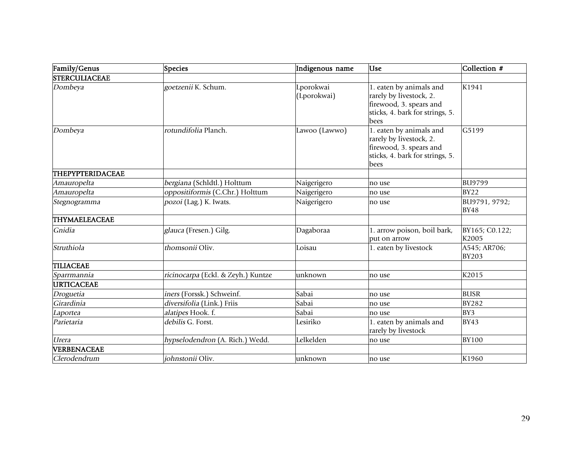| Family/Genus            | Species                            | Indigenous name          | Use                                                                                                                      | Collection #                 |
|-------------------------|------------------------------------|--------------------------|--------------------------------------------------------------------------------------------------------------------------|------------------------------|
| <b>STERCULIACEAE</b>    |                                    |                          |                                                                                                                          |                              |
| Dombeya                 | goetzenii K. Schum.                | Lporokwai<br>(Lporokwai) | 1. eaten by animals and<br>rarely by livestock, 2.<br>firewood, 3. spears and<br>sticks, 4. bark for strings, 5.<br>bees | K1941                        |
| Dombeya                 | rotundifolia Planch.               | Lawoo (Lawwo)            | 1. eaten by animals and<br>rarely by livestock, 2.<br>firewood, 3. spears and<br>sticks, 4. bark for strings, 5.<br>bees | G5199                        |
| <b>THEPYPTERIDACEAE</b> |                                    |                          |                                                                                                                          |                              |
| Amauropelta             | bergiana (Schldtl.) Holttum        | Naigerigero              | no use                                                                                                                   | <b>BU9799</b>                |
| Amauropelta             | oppositiformis (C.Chr.) Holttum    | Naigerigero              | no use                                                                                                                   | <b>BY22</b>                  |
| Stegnogramma            | pozoi (Lag.) K. Iwats.             | Naigerigero              | no use                                                                                                                   | BU9791, 9792;<br><b>BY48</b> |
| THYMAELEACEAE           |                                    |                          |                                                                                                                          |                              |
| Gnidia                  | glauca (Fresen.) Gilg.             | Dagaboraa                | 1. arrow poison, boil bark,<br>put on arrow                                                                              | BY165; C0.122;<br>K2005      |
| Struthiola              | thomsonii Oliv.                    | Loisau                   | 1. eaten by livestock                                                                                                    | A545; AR706;<br><b>BY203</b> |
| <b>TILIACEAE</b>        |                                    |                          |                                                                                                                          |                              |
| Sparrmannia             | ricinocarpa (Eckl. & Zeyh.) Kuntze | unknown                  | no use                                                                                                                   | K2015                        |
| <b>URTICACEAE</b>       |                                    |                          |                                                                                                                          |                              |
| Droguetia               | iners (Forssk.) Schweinf.          | Sabai                    | no use                                                                                                                   | <b>BUSR</b>                  |
| Girardinia              | diversifolia (Link.) Friis         | Sabai                    | no use                                                                                                                   | <b>BY282</b>                 |
| Laportea                | alatipes Hook. f.                  | Sabai                    | no use                                                                                                                   | BY3                          |
| Parietaria              | debilis G. Forst.                  | Lesiriko                 | 1. eaten by animals and<br>rarely by livestock                                                                           | <b>BY43</b>                  |
| <b>Urera</b>            | hypselodendron (A. Rich.) Wedd.    | Lelkelden                | no use                                                                                                                   | <b>BY100</b>                 |
| VERBENACEAE             |                                    |                          |                                                                                                                          |                              |
| Clerodendrum            | johnstonii Oliv.                   | unknown                  | no use                                                                                                                   | K1960                        |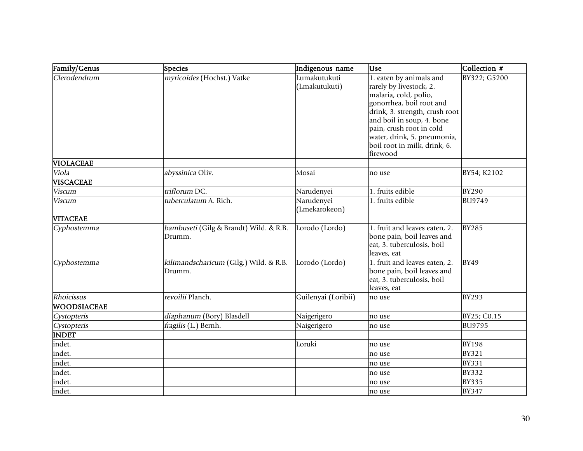| Family/Genus       | Species                                          | Indigenous name               | <b>Use</b>                                                                                                                                                                                                                                                                    | Collection #  |
|--------------------|--------------------------------------------------|-------------------------------|-------------------------------------------------------------------------------------------------------------------------------------------------------------------------------------------------------------------------------------------------------------------------------|---------------|
| Clerodendrum       | myricoides (Hochst.) Vatke                       | Lumakutukuti<br>(Lmakutukuti) | 1. eaten by animals and<br>rarely by livestock, 2.<br>malaria, cold, polio,<br>gonorrhea, boil root and<br>drink, 3. strength, crush root<br>and boil in soup, 4. bone<br>pain, crush root in cold<br>water, drink, 5. pneumonia,<br>boil root in milk, drink, 6.<br>firewood | BY322; G5200  |
| <b>VIOLACEAE</b>   |                                                  |                               |                                                                                                                                                                                                                                                                               |               |
| Viola              | abyssinica Oliv.                                 | Mosai                         | no use                                                                                                                                                                                                                                                                        | BY54; K2102   |
| <b>VISCACEAE</b>   |                                                  |                               |                                                                                                                                                                                                                                                                               |               |
| <b>Viscum</b>      | triflorum DC.                                    | Narudenyei                    | 1. fruits edible                                                                                                                                                                                                                                                              | <b>BY290</b>  |
| <b>Viscum</b>      | tuberculatum A. Rich.                            | Narudenyei<br>(Lmekarokeon)   | 1. fruits edible                                                                                                                                                                                                                                                              | <b>BU9749</b> |
| <b>VITACEAE</b>    |                                                  |                               |                                                                                                                                                                                                                                                                               |               |
| Cyphostemma        | bambuseti (Gilg & Brandt) Wild. & R.B.<br>Drumm. | Lorodo (Lordo)                | 1. fruit and leaves eaten, 2.<br>bone pain, boil leaves and<br>eat, 3. tuberculosis, boil<br>leaves, eat                                                                                                                                                                      | <b>BY285</b>  |
| Cyphostemma        | kilimandscharicum (Gilg.) Wild. & R.B.<br>Drumm. | Lorodo (Lordo)                | 1. fruit and leaves eaten, 2.<br>bone pain, boil leaves and<br>eat, 3. tuberculosis, boil<br>leaves, eat                                                                                                                                                                      | <b>BY49</b>   |
| Rhoicissus         | revoilii Planch.                                 | Guilenyai (Loribii)           | no use                                                                                                                                                                                                                                                                        | <b>BY293</b>  |
| <b>WOODSIACEAE</b> |                                                  |                               |                                                                                                                                                                                                                                                                               |               |
| Cystopteris        | diaphanum (Bory) Blasdell                        | Naigerigero                   | no use                                                                                                                                                                                                                                                                        | BY25; C0.15   |
| Cystopteris        | fragilis (L.) Bernh.                             | Naigerigero                   | no use                                                                                                                                                                                                                                                                        | <b>BU9795</b> |
| <b>INDET</b>       |                                                  |                               |                                                                                                                                                                                                                                                                               |               |
| indet.             |                                                  | Loruki                        | no use                                                                                                                                                                                                                                                                        | <b>BY198</b>  |
| indet.             |                                                  |                               | no use                                                                                                                                                                                                                                                                        | <b>BY321</b>  |
| indet.             |                                                  |                               | no use                                                                                                                                                                                                                                                                        | <b>BY331</b>  |
| indet.             |                                                  |                               | no use                                                                                                                                                                                                                                                                        | <b>BY332</b>  |
| indet.             |                                                  |                               | no use                                                                                                                                                                                                                                                                        | <b>BY335</b>  |
| indet.             |                                                  |                               | no use                                                                                                                                                                                                                                                                        | <b>BY347</b>  |